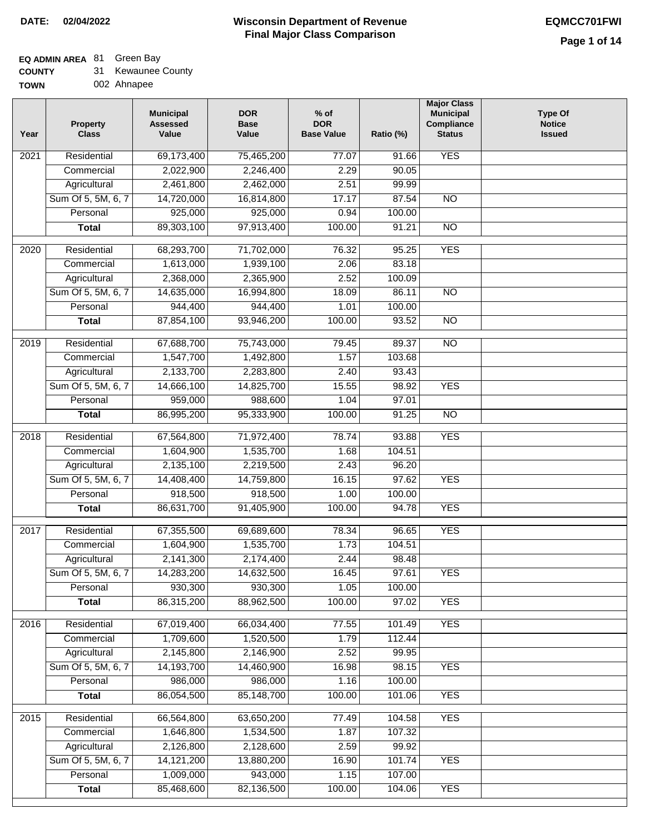### **EQ ADMIN AREA** 81 Green Bay

| <b>COUNTY</b> | <b>Kewaunee County</b> |
|---------------|------------------------|
|---------------|------------------------|

**TOWN** 002 Ahnapee

| Year              | <b>Property</b><br><b>Class</b> | <b>Municipal</b><br><b>Assessed</b><br>Value | <b>DOR</b><br><b>Base</b><br>Value | $%$ of<br><b>DOR</b><br><b>Base Value</b> | Ratio (%) | <b>Major Class</b><br><b>Municipal</b><br>Compliance<br><b>Status</b> | <b>Type Of</b><br><b>Notice</b><br><b>Issued</b> |
|-------------------|---------------------------------|----------------------------------------------|------------------------------------|-------------------------------------------|-----------|-----------------------------------------------------------------------|--------------------------------------------------|
| $\overline{202}1$ | Residential                     | 69,173,400                                   | 75,465,200                         | 77.07                                     | 91.66     | <b>YES</b>                                                            |                                                  |
|                   | Commercial                      | 2,022,900                                    | 2,246,400                          | 2.29                                      | 90.05     |                                                                       |                                                  |
|                   | Agricultural                    | 2,461,800                                    | 2,462,000                          | 2.51                                      | 99.99     |                                                                       |                                                  |
|                   | Sum Of 5, 5M, 6, 7              | 14,720,000                                   | 16,814,800                         | 17.17                                     | 87.54     | $\overline{NO}$                                                       |                                                  |
|                   | Personal                        | 925,000                                      | 925,000                            | 0.94                                      | 100.00    |                                                                       |                                                  |
|                   | <b>Total</b>                    | 89,303,100                                   | 97,913,400                         | 100.00                                    | 91.21     | $\overline{NO}$                                                       |                                                  |
| $\overline{2020}$ | Residential                     | 68,293,700                                   | 71,702,000                         | 76.32                                     | 95.25     | <b>YES</b>                                                            |                                                  |
|                   | Commercial                      | 1,613,000                                    | 1,939,100                          | 2.06                                      | 83.18     |                                                                       |                                                  |
|                   | Agricultural                    | 2,368,000                                    | 2,365,900                          | 2.52                                      | 100.09    |                                                                       |                                                  |
|                   | Sum Of 5, 5M, 6, 7              | 14,635,000                                   | 16,994,800                         | 18.09                                     | 86.11     | $\overline{NO}$                                                       |                                                  |
|                   | Personal                        | 944,400                                      | 944,400                            | 1.01                                      | 100.00    |                                                                       |                                                  |
|                   | <b>Total</b>                    | 87,854,100                                   | 93,946,200                         | 100.00                                    | 93.52     | $\overline{NO}$                                                       |                                                  |
| 2019              | Residential                     | 67,688,700                                   | 75,743,000                         | 79.45                                     | 89.37     | $\overline{NO}$                                                       |                                                  |
|                   | Commercial                      | 1,547,700                                    | 1,492,800                          | 1.57                                      | 103.68    |                                                                       |                                                  |
|                   | Agricultural                    | 2,133,700                                    | 2,283,800                          | 2.40                                      | 93.43     |                                                                       |                                                  |
|                   | Sum Of 5, 5M, 6, 7              | 14,666,100                                   | 14,825,700                         | 15.55                                     | 98.92     | <b>YES</b>                                                            |                                                  |
|                   | Personal                        | 959,000                                      | 988,600                            | 1.04                                      | 97.01     |                                                                       |                                                  |
|                   | <b>Total</b>                    | 86,995,200                                   | 95,333,900                         | 100.00                                    | 91.25     | $\overline{NO}$                                                       |                                                  |
| 2018              | Residential                     | 67,564,800                                   | 71,972,400                         | 78.74                                     | 93.88     | <b>YES</b>                                                            |                                                  |
|                   | Commercial                      | 1,604,900                                    | 1,535,700                          | 1.68                                      | 104.51    |                                                                       |                                                  |
|                   | Agricultural                    | 2,135,100                                    | 2,219,500                          | 2.43                                      | 96.20     |                                                                       |                                                  |
|                   | Sum Of 5, 5M, 6, 7              | 14,408,400                                   | 14,759,800                         | 16.15                                     | 97.62     | <b>YES</b>                                                            |                                                  |
|                   | Personal                        | 918,500                                      | 918,500                            | 1.00                                      | 100.00    |                                                                       |                                                  |
|                   | <b>Total</b>                    | 86,631,700                                   | 91,405,900                         | 100.00                                    | 94.78     | <b>YES</b>                                                            |                                                  |
| $\overline{2017}$ | Residential                     | 67,355,500                                   | 69,689,600                         | 78.34                                     | 96.65     | <b>YES</b>                                                            |                                                  |
|                   | Commercial                      | 1,604,900                                    | 1,535,700                          | 1.73                                      | 104.51    |                                                                       |                                                  |
|                   | Agricultural                    | 2,141,300                                    | 2,174,400                          | 2.44                                      | 98.48     |                                                                       |                                                  |
|                   | Sum Of 5, 5M, 6, 7              | 14,283,200                                   | 14,632,500                         | 16.45                                     | 97.61     | <b>YES</b>                                                            |                                                  |
|                   | Personal                        | 930,300                                      | 930,300                            | 1.05                                      | 100.00    |                                                                       |                                                  |
|                   | <b>Total</b>                    | 86,315,200                                   | 88,962,500                         | 100.00                                    | 97.02     | <b>YES</b>                                                            |                                                  |
| 2016              | Residential                     | 67,019,400                                   | 66,034,400                         | 77.55                                     | 101.49    | <b>YES</b>                                                            |                                                  |
|                   | Commercial                      | 1,709,600                                    | 1,520,500                          | 1.79                                      | 112.44    |                                                                       |                                                  |
|                   | Agricultural                    | 2,145,800                                    | 2,146,900                          | 2.52                                      | 99.95     |                                                                       |                                                  |
|                   | Sum Of 5, 5M, 6, 7              | 14,193,700                                   | 14,460,900                         | 16.98                                     | 98.15     | <b>YES</b>                                                            |                                                  |
|                   | Personal                        | 986,000                                      | 986,000                            | 1.16                                      | 100.00    |                                                                       |                                                  |
|                   | <b>Total</b>                    | 86,054,500                                   | 85,148,700                         | 100.00                                    | 101.06    | <b>YES</b>                                                            |                                                  |
| 2015              | Residential                     | 66,564,800                                   | 63,650,200                         | 77.49                                     | 104.58    | <b>YES</b>                                                            |                                                  |
|                   | Commercial                      | 1,646,800                                    | 1,534,500                          | 1.87                                      | 107.32    |                                                                       |                                                  |
|                   | Agricultural                    | 2,126,800                                    | 2,128,600                          | 2.59                                      | 99.92     |                                                                       |                                                  |
|                   | Sum Of 5, 5M, 6, 7              | 14, 121, 200                                 | 13,880,200                         | 16.90                                     | 101.74    | <b>YES</b>                                                            |                                                  |
|                   | Personal                        | 1,009,000                                    | 943,000                            | 1.15                                      | 107.00    |                                                                       |                                                  |
|                   | <b>Total</b>                    | 85,468,600                                   | 82,136,500                         | 100.00                                    | 104.06    | <b>YES</b>                                                            |                                                  |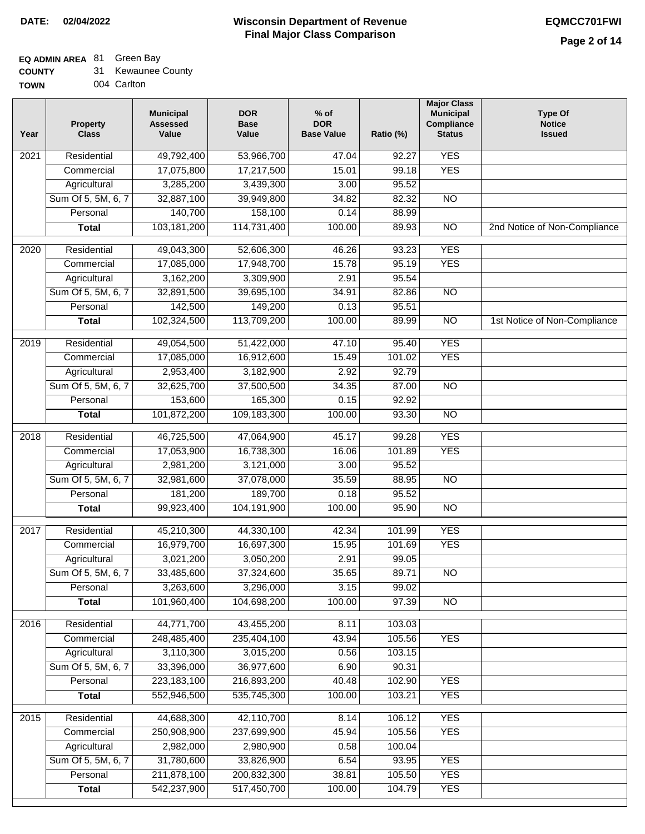## **EQ ADMIN AREA** 81 Green Bay

| <b>COUNTY</b> | Kewaunee County |
|---------------|-----------------|
|---------------|-----------------|

**TOWN** 004 Carlton

| Year              | <b>Property</b><br><b>Class</b> | <b>Municipal</b><br><b>Assessed</b><br>Value | <b>DOR</b><br><b>Base</b><br>Value | $%$ of<br><b>DOR</b><br><b>Base Value</b> | Ratio (%) | <b>Major Class</b><br><b>Municipal</b><br>Compliance<br><b>Status</b> | <b>Type Of</b><br><b>Notice</b><br><b>Issued</b> |
|-------------------|---------------------------------|----------------------------------------------|------------------------------------|-------------------------------------------|-----------|-----------------------------------------------------------------------|--------------------------------------------------|
| $\overline{202}1$ | Residential                     | 49,792,400                                   | 53,966,700                         | 47.04                                     | 92.27     | <b>YES</b>                                                            |                                                  |
|                   | Commercial                      | 17,075,800                                   | 17,217,500                         | 15.01                                     | 99.18     | <b>YES</b>                                                            |                                                  |
|                   | Agricultural                    | 3,285,200                                    | 3,439,300                          | 3.00                                      | 95.52     |                                                                       |                                                  |
|                   | Sum Of 5, 5M, 6, 7              | 32,887,100                                   | 39,949,800                         | 34.82                                     | 82.32     | $\overline{NO}$                                                       |                                                  |
|                   | Personal                        | 140,700                                      | 158,100                            | 0.14                                      | 88.99     |                                                                       |                                                  |
|                   | <b>Total</b>                    | 103,181,200                                  | 114,731,400                        | 100.00                                    | 89.93     | $\overline{NO}$                                                       | 2nd Notice of Non-Compliance                     |
| 2020              | Residential                     | 49,043,300                                   | 52,606,300                         | 46.26                                     | 93.23     | <b>YES</b>                                                            |                                                  |
|                   | Commercial                      | 17,085,000                                   | 17,948,700                         | 15.78                                     | 95.19     | <b>YES</b>                                                            |                                                  |
|                   | Agricultural                    | 3,162,200                                    | 3,309,900                          | 2.91                                      | 95.54     |                                                                       |                                                  |
|                   | Sum Of 5, 5M, 6, 7              | 32,891,500                                   | 39,695,100                         | 34.91                                     | 82.86     | $\overline{NO}$                                                       |                                                  |
|                   | Personal                        | 142,500                                      | 149,200                            | 0.13                                      | 95.51     |                                                                       |                                                  |
|                   | Total                           | 102,324,500                                  | 113,709,200                        | 100.00                                    | 89.99     | $\overline{NO}$                                                       | 1st Notice of Non-Compliance                     |
|                   |                                 |                                              |                                    |                                           |           |                                                                       |                                                  |
| 2019              | Residential                     | 49,054,500                                   | 51,422,000                         | 47.10                                     | 95.40     | <b>YES</b>                                                            |                                                  |
|                   | Commercial                      | 17,085,000                                   | 16,912,600                         | 15.49                                     | 101.02    | <b>YES</b>                                                            |                                                  |
|                   | Agricultural                    | 2,953,400                                    | 3,182,900                          | 2.92                                      | 92.79     |                                                                       |                                                  |
|                   | Sum Of 5, 5M, 6, 7              | 32,625,700                                   | 37,500,500                         | 34.35                                     | 87.00     | $\overline{NO}$                                                       |                                                  |
|                   | Personal                        | 153,600                                      | 165,300                            | 0.15                                      | 92.92     |                                                                       |                                                  |
|                   | <b>Total</b>                    | 101,872,200                                  | 109,183,300                        | 100.00                                    | 93.30     | <b>NO</b>                                                             |                                                  |
| $\overline{2018}$ | Residential                     | 46,725,500                                   | 47,064,900                         | 45.17                                     | 99.28     | <b>YES</b>                                                            |                                                  |
|                   | Commercial                      | 17,053,900                                   | 16,738,300                         | 16.06                                     | 101.89    | <b>YES</b>                                                            |                                                  |
|                   | Agricultural                    | 2,981,200                                    | 3,121,000                          | 3.00                                      | 95.52     |                                                                       |                                                  |
|                   | Sum Of 5, 5M, 6, 7              | 32,981,600                                   | 37,078,000                         | 35.59                                     | 88.95     | <b>NO</b>                                                             |                                                  |
|                   | Personal                        | 181,200                                      | 189,700                            | 0.18                                      | 95.52     |                                                                       |                                                  |
|                   | <b>Total</b>                    | 99,923,400                                   | 104,191,900                        | 100.00                                    | 95.90     | $\overline{10}$                                                       |                                                  |
| 2017              | Residential                     | 45,210,300                                   | 44,330,100                         | 42.34                                     | 101.99    | <b>YES</b>                                                            |                                                  |
|                   | Commercial                      | 16,979,700                                   | 16,697,300                         | 15.95                                     | 101.69    | <b>YES</b>                                                            |                                                  |
|                   | Agricultural                    | 3,021,200                                    | 3,050,200                          | 2.91                                      | 99.05     |                                                                       |                                                  |
|                   | Sum Of 5, 5M, 6, 7              | 33,485,600                                   | 37,324,600                         | 35.65                                     | 89.71     | $\overline{N}$                                                        |                                                  |
|                   | Personal                        | 3,263,600                                    | 3,296,000                          | 3.15                                      | 99.02     |                                                                       |                                                  |
|                   | <b>Total</b>                    | 101,960,400                                  | 104,698,200                        | 100.00                                    | 97.39     | $\overline{NO}$                                                       |                                                  |
| 2016              | Residential                     | 44,771,700                                   | 43,455,200                         | 8.11                                      | 103.03    |                                                                       |                                                  |
|                   | Commercial                      | 248,485,400                                  | 235,404,100                        | 43.94                                     | 105.56    | <b>YES</b>                                                            |                                                  |
|                   | Agricultural                    | 3,110,300                                    | 3,015,200                          | 0.56                                      | 103.15    |                                                                       |                                                  |
|                   | Sum Of 5, 5M, 6, 7              | 33,396,000                                   | 36,977,600                         | 6.90                                      | 90.31     |                                                                       |                                                  |
|                   | Personal                        | 223,183,100                                  | 216,893,200                        | 40.48                                     | 102.90    | <b>YES</b>                                                            |                                                  |
|                   | <b>Total</b>                    | 552,946,500                                  | 535,745,300                        | 100.00                                    | 103.21    | <b>YES</b>                                                            |                                                  |
|                   |                                 |                                              |                                    |                                           |           |                                                                       |                                                  |
| 2015              | Residential                     | 44,688,300                                   | 42,110,700                         | 8.14                                      | 106.12    | <b>YES</b>                                                            |                                                  |
|                   | Commercial                      | 250,908,900                                  | 237,699,900                        | 45.94                                     | 105.56    | <b>YES</b>                                                            |                                                  |
|                   | Agricultural                    | 2,982,000                                    | 2,980,900                          | 0.58                                      | 100.04    |                                                                       |                                                  |
|                   | Sum Of 5, 5M, 6, 7              | 31,780,600                                   | 33,826,900                         | 6.54                                      | 93.95     | <b>YES</b>                                                            |                                                  |
|                   | Personal                        | 211,878,100                                  | 200,832,300                        | 38.81                                     | 105.50    | <b>YES</b>                                                            |                                                  |
|                   | <b>Total</b>                    | 542,237,900                                  | 517,450,700                        | 100.00                                    | 104.79    | <b>YES</b>                                                            |                                                  |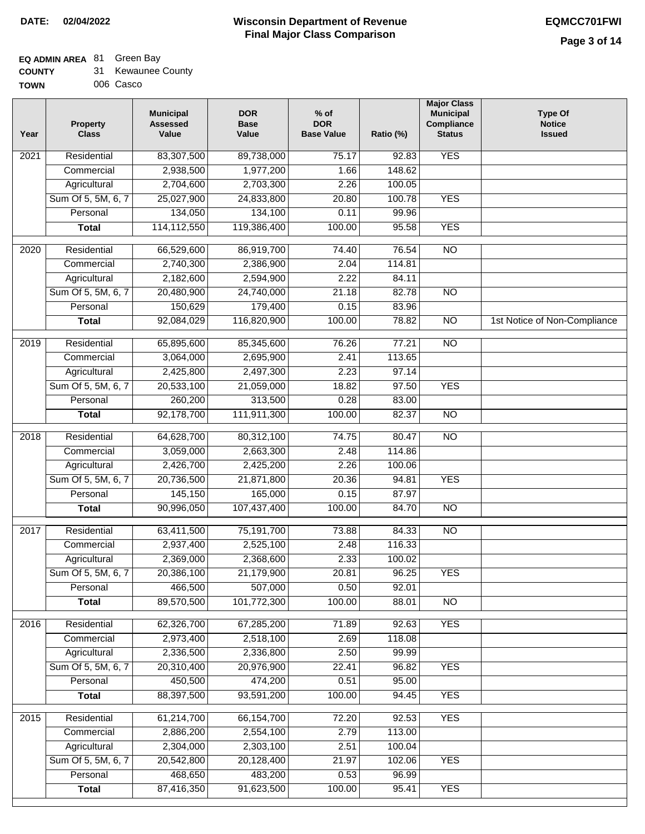# **EQ ADMIN AREA** 81 Green Bay

| <b>COUNTY</b> | Kewaunee County |
|---------------|-----------------|
|---------------|-----------------|

**TOWN** 006 Casco

| Year              | <b>Property</b><br><b>Class</b> | <b>Municipal</b><br><b>Assessed</b><br>Value | <b>DOR</b><br><b>Base</b><br>Value | $%$ of<br><b>DOR</b><br><b>Base Value</b> | Ratio (%) | <b>Major Class</b><br><b>Municipal</b><br><b>Compliance</b><br><b>Status</b> | <b>Type Of</b><br><b>Notice</b><br><b>Issued</b> |
|-------------------|---------------------------------|----------------------------------------------|------------------------------------|-------------------------------------------|-----------|------------------------------------------------------------------------------|--------------------------------------------------|
| 2021              | Residential                     | 83,307,500                                   | 89,738,000                         | 75.17                                     | 92.83     | <b>YES</b>                                                                   |                                                  |
|                   | Commercial                      | 2,938,500                                    | 1,977,200                          | 1.66                                      | 148.62    |                                                                              |                                                  |
|                   | Agricultural                    | 2,704,600                                    | 2,703,300                          | 2.26                                      | 100.05    |                                                                              |                                                  |
|                   | Sum Of 5, 5M, 6, 7              | 25,027,900                                   | 24,833,800                         | 20.80                                     | 100.78    | <b>YES</b>                                                                   |                                                  |
|                   | Personal                        | 134,050                                      | 134,100                            | 0.11                                      | 99.96     |                                                                              |                                                  |
|                   | <b>Total</b>                    | 114,112,550                                  | 119,386,400                        | 100.00                                    | 95.58     | <b>YES</b>                                                                   |                                                  |
| $\overline{2020}$ | Residential                     | 66,529,600                                   | 86,919,700                         | 74.40                                     | 76.54     | NO                                                                           |                                                  |
|                   | Commercial                      | 2,740,300                                    | 2,386,900                          | 2.04                                      | 114.81    |                                                                              |                                                  |
|                   | Agricultural                    | 2,182,600                                    | 2,594,900                          | 2.22                                      | 84.11     |                                                                              |                                                  |
|                   | Sum Of 5, 5M, 6, 7              | 20,480,900                                   | 24,740,000                         | 21.18                                     | 82.78     | <b>NO</b>                                                                    |                                                  |
|                   | Personal                        | 150,629                                      | 179,400                            | 0.15                                      | 83.96     |                                                                              |                                                  |
|                   | <b>Total</b>                    | 92,084,029                                   | 116,820,900                        | 100.00                                    | 78.82     | $\overline{NO}$                                                              | 1st Notice of Non-Compliance                     |
|                   |                                 |                                              |                                    |                                           |           |                                                                              |                                                  |
| $\frac{1}{2019}$  | Residential                     | 65,895,600                                   | 85,345,600                         | 76.26                                     | 77.21     | $\overline{NO}$                                                              |                                                  |
|                   | Commercial                      | 3,064,000                                    | 2,695,900                          | 2.41                                      | 113.65    |                                                                              |                                                  |
|                   | Agricultural                    | 2,425,800                                    | 2,497,300                          | 2.23                                      | 97.14     |                                                                              |                                                  |
|                   | Sum Of 5, 5M, 6, 7              | 20,533,100                                   | 21,059,000                         | 18.82                                     | 97.50     | <b>YES</b>                                                                   |                                                  |
|                   | Personal                        | 260,200                                      | 313,500                            | 0.28                                      | 83.00     |                                                                              |                                                  |
|                   | <b>Total</b>                    | 92,178,700                                   | 111,911,300                        | 100.00                                    | 82.37     | $\overline{NO}$                                                              |                                                  |
| 2018              | Residential                     | 64,628,700                                   | 80,312,100                         | 74.75                                     | 80.47     | $\overline{NO}$                                                              |                                                  |
|                   | Commercial                      | 3,059,000                                    | 2,663,300                          | 2.48                                      | 114.86    |                                                                              |                                                  |
|                   | Agricultural                    | 2,426,700                                    | 2,425,200                          | 2.26                                      | 100.06    |                                                                              |                                                  |
|                   | Sum Of 5, 5M, 6, 7              | 20,736,500                                   | 21,871,800                         | 20.36                                     | 94.81     | <b>YES</b>                                                                   |                                                  |
|                   | Personal                        | 145,150                                      | 165,000                            | 0.15                                      | 87.97     |                                                                              |                                                  |
|                   | <b>Total</b>                    | 90,996,050                                   | 107,437,400                        | 100.00                                    | 84.70     | $\overline{NO}$                                                              |                                                  |
| 2017              | Residential                     | 63,411,500                                   | 75,191,700                         | 73.88                                     | 84.33     | $\overline{NO}$                                                              |                                                  |
|                   | Commercial                      | 2,937,400                                    | 2,525,100                          | 2.48                                      | 116.33    |                                                                              |                                                  |
|                   | Agricultural                    | 2,369,000                                    | 2,368,600                          | 2.33                                      | 100.02    |                                                                              |                                                  |
|                   | Sum Of 5, 5M, 6, 7              | 20,386,100                                   | 21,179,900                         | 20.81                                     | 96.25     | <b>YES</b>                                                                   |                                                  |
|                   | Personal                        | 466,500                                      | 507,000                            | 0.50                                      | 92.01     |                                                                              |                                                  |
|                   | <b>Total</b>                    | 89,570,500                                   | 101,772,300                        | 100.00                                    | 88.01     | $\overline{NO}$                                                              |                                                  |
| 2016              | Residential                     | 62,326,700                                   | 67,285,200                         | 71.89                                     | 92.63     | <b>YES</b>                                                                   |                                                  |
|                   | Commercial                      | 2,973,400                                    | 2,518,100                          | 2.69                                      | 118.08    |                                                                              |                                                  |
|                   | Agricultural                    | 2,336,500                                    | 2,336,800                          | 2.50                                      | 99.99     |                                                                              |                                                  |
|                   | Sum Of 5, 5M, 6, 7              | 20,310,400                                   | 20,976,900                         | 22.41                                     | 96.82     | <b>YES</b>                                                                   |                                                  |
|                   | Personal                        | 450,500                                      | 474,200                            | 0.51                                      | 95.00     |                                                                              |                                                  |
|                   | <b>Total</b>                    | 88,397,500                                   | 93,591,200                         | 100.00                                    | 94.45     | <b>YES</b>                                                                   |                                                  |
| 2015              | Residential                     | 61,214,700                                   | 66, 154, 700                       | 72.20                                     | 92.53     | <b>YES</b>                                                                   |                                                  |
|                   | Commercial                      | 2,886,200                                    | 2,554,100                          | 2.79                                      | 113.00    |                                                                              |                                                  |
|                   | Agricultural                    | 2,304,000                                    | 2,303,100                          | 2.51                                      | 100.04    |                                                                              |                                                  |
|                   | Sum Of 5, 5M, 6, 7              | 20,542,800                                   | 20,128,400                         | 21.97                                     | 102.06    | <b>YES</b>                                                                   |                                                  |
|                   | Personal                        | 468,650                                      | 483,200                            | 0.53                                      | 96.99     |                                                                              |                                                  |
|                   | <b>Total</b>                    | 87,416,350                                   | 91,623,500                         | 100.00                                    | 95.41     | <b>YES</b>                                                                   |                                                  |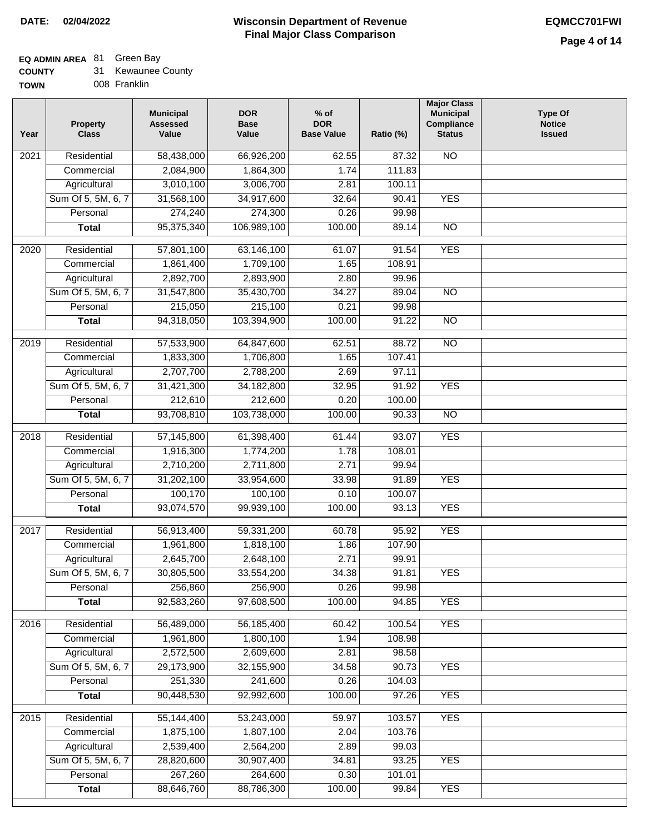### **EQ ADMIN AREA** 81 Green Bay

| <b>COUNTY</b> | Kewaunee County |  |
|---------------|-----------------|--|
|---------------|-----------------|--|

**TOWN** 008 Franklin

| Year              | <b>Property</b><br><b>Class</b> | <b>Municipal</b><br><b>Assessed</b><br>Value | <b>DOR</b><br><b>Base</b><br>Value | $%$ of<br><b>DOR</b><br><b>Base Value</b> | Ratio (%)        | <b>Major Class</b><br><b>Municipal</b><br>Compliance<br><b>Status</b> | <b>Type Of</b><br><b>Notice</b><br><b>Issued</b> |
|-------------------|---------------------------------|----------------------------------------------|------------------------------------|-------------------------------------------|------------------|-----------------------------------------------------------------------|--------------------------------------------------|
| 2021              | Residential                     | 58,438,000                                   | 66,926,200                         | 62.55                                     | 87.32            | <b>NO</b>                                                             |                                                  |
|                   | Commercial                      | 2,084,900                                    | 1,864,300                          | 1.74                                      | 111.83           |                                                                       |                                                  |
|                   | Agricultural                    | 3,010,100                                    | 3,006,700                          | 2.81                                      | 100.11           |                                                                       |                                                  |
|                   | Sum Of 5, 5M, 6, 7              | 31,568,100                                   | 34,917,600                         | 32.64                                     | 90.41            | <b>YES</b>                                                            |                                                  |
|                   | Personal                        | 274,240                                      | 274,300                            | 0.26                                      | 99.98            |                                                                       |                                                  |
|                   | <b>Total</b>                    | 95,375,340                                   | 106,989,100                        | 100.00                                    | 89.14            | $\overline{NO}$                                                       |                                                  |
| $\overline{2020}$ | Residential                     | 57,801,100                                   | 63,146,100                         | 61.07                                     | 91.54            | <b>YES</b>                                                            |                                                  |
|                   | Commercial                      | 1,861,400                                    | 1,709,100                          | 1.65                                      | 108.91           |                                                                       |                                                  |
|                   | Agricultural                    | 2,892,700                                    | 2,893,900                          | 2.80                                      | 99.96            |                                                                       |                                                  |
|                   | Sum Of 5, 5M, 6, 7              | 31,547,800                                   | 35,430,700                         | 34.27                                     | 89.04            | $\overline{NO}$                                                       |                                                  |
|                   | Personal                        | 215,050                                      | 215,100                            | 0.21                                      | 99.98            |                                                                       |                                                  |
|                   | <b>Total</b>                    | 94,318,050                                   | 103,394,900                        | 100.00                                    | 91.22            | <b>NO</b>                                                             |                                                  |
| $\frac{2019}{ }$  | Residential                     | 57,533,900                                   | 64,847,600                         | 62.51                                     | 88.72            | $\overline{NO}$                                                       |                                                  |
|                   | Commercial                      | 1,833,300                                    | 1,706,800                          | 1.65                                      | 107.41           |                                                                       |                                                  |
|                   | Agricultural                    | 2,707,700                                    | 2,788,200                          | 2.69                                      | 97.11            |                                                                       |                                                  |
|                   | Sum Of 5, 5M, 6, 7              | 31,421,300                                   | 34, 182, 800                       | 32.95                                     | 91.92            | <b>YES</b>                                                            |                                                  |
|                   | Personal                        | 212,610                                      | 212,600                            | 0.20                                      | 100.00           |                                                                       |                                                  |
|                   | <b>Total</b>                    | 93,708,810                                   | 103,738,000                        | 100.00                                    | 90.33            | $\overline{NO}$                                                       |                                                  |
|                   |                                 |                                              |                                    |                                           |                  |                                                                       |                                                  |
| 2018              | Residential                     | 57,145,800                                   | 61,398,400                         | 61.44                                     | 93.07            | <b>YES</b>                                                            |                                                  |
|                   | Commercial                      | 1,916,300                                    | 1,774,200                          | 1.78                                      | 108.01           |                                                                       |                                                  |
|                   | Agricultural                    | 2,710,200                                    | 2,711,800                          | 2.71                                      | 99.94            |                                                                       |                                                  |
|                   | Sum Of 5, 5M, 6, 7              | 31,202,100                                   | 33,954,600                         | 33.98                                     | 91.89            | <b>YES</b>                                                            |                                                  |
|                   | Personal                        | 100,170                                      | 100,100                            | 0.10                                      | 100.07           | <b>YES</b>                                                            |                                                  |
|                   | <b>Total</b>                    | 93,074,570                                   | 99,939,100                         | 100.00                                    | 93.13            |                                                                       |                                                  |
| 2017              | Residential                     | 56,913,400                                   | 59,331,200                         | 60.78                                     | 95.92            | <b>YES</b>                                                            |                                                  |
|                   | Commercial                      | 1,961,800                                    | 1,818,100                          | 1.86                                      | 107.90           |                                                                       |                                                  |
|                   | Agricultural                    | 2,645,700                                    | 2,648,100                          | 2.71                                      | 99.91            |                                                                       |                                                  |
|                   | Sum Of 5, 5M, 6, 7              | 30,805,500                                   | 33,554,200                         | 34.38                                     | 91.81            | <b>YES</b>                                                            |                                                  |
|                   | Personal                        | 256,860                                      | 256,900                            | 0.26                                      | 99.98            |                                                                       |                                                  |
|                   | <b>Total</b>                    | 92,583,260                                   | 97,608,500                         | 100.00                                    | 94.85            | <b>YES</b>                                                            |                                                  |
| 2016              | Residential                     | 56,489,000                                   | 56,185,400                         | 60.42                                     | 100.54           | <b>YES</b>                                                            |                                                  |
|                   | Commercial                      | 1,961,800                                    | 1,800,100                          | 1.94                                      | 108.98           |                                                                       |                                                  |
|                   | Agricultural                    | 2,572,500                                    | 2,609,600                          | 2.81                                      | 98.58            |                                                                       |                                                  |
|                   | Sum Of 5, 5M, 6, 7              | 29,173,900                                   | 32,155,900                         | 34.58                                     | 90.73            | <b>YES</b>                                                            |                                                  |
|                   | Personal                        | 251,330                                      | 241,600                            | 0.26                                      | 104.03           |                                                                       |                                                  |
|                   | <b>Total</b>                    | 90,448,530                                   | 92,992,600                         | 100.00                                    | 97.26            | <b>YES</b>                                                            |                                                  |
|                   |                                 | 55,144,400                                   | 53,243,000                         |                                           |                  | <b>YES</b>                                                            |                                                  |
| 2015              | Residential<br>Commercial       | 1,875,100                                    | 1,807,100                          | 59.97<br>2.04                             | 103.57<br>103.76 |                                                                       |                                                  |
|                   | Agricultural                    | 2,539,400                                    | 2,564,200                          | 2.89                                      | 99.03            |                                                                       |                                                  |
|                   | Sum Of 5, 5M, 6, 7              | 28,820,600                                   | 30,907,400                         | 34.81                                     | 93.25            | <b>YES</b>                                                            |                                                  |
|                   | Personal                        | 267,260                                      | 264,600                            | 0.30                                      | 101.01           |                                                                       |                                                  |
|                   | <b>Total</b>                    | 88,646,760                                   | 88,786,300                         | 100.00                                    | 99.84            | <b>YES</b>                                                            |                                                  |
|                   |                                 |                                              |                                    |                                           |                  |                                                                       |                                                  |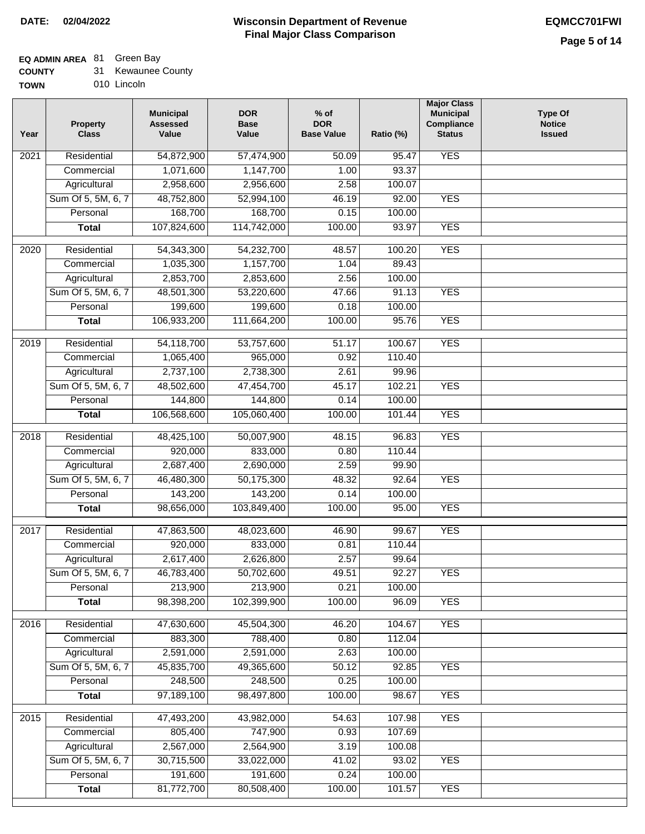### **EQ ADMIN AREA** 81 Green Bay

| <b>COUNTY</b> |  | 31 Kewaunee County |
|---------------|--|--------------------|
|---------------|--|--------------------|

**TOWN** 010 Lincoln

| Year              | <b>Property</b><br><b>Class</b> | <b>Municipal</b><br><b>Assessed</b><br>Value | <b>DOR</b><br><b>Base</b><br>Value | $%$ of<br><b>DOR</b><br><b>Base Value</b> | Ratio (%) | <b>Major Class</b><br><b>Municipal</b><br>Compliance<br><b>Status</b> | <b>Type Of</b><br><b>Notice</b><br><b>Issued</b> |
|-------------------|---------------------------------|----------------------------------------------|------------------------------------|-------------------------------------------|-----------|-----------------------------------------------------------------------|--------------------------------------------------|
| $\overline{202}1$ | Residential                     | 54,872,900                                   | 57,474,900                         | 50.09                                     | 95.47     | <b>YES</b>                                                            |                                                  |
|                   | Commercial                      | 1,071,600                                    | 1,147,700                          | 1.00                                      | 93.37     |                                                                       |                                                  |
|                   | Agricultural                    | 2,958,600                                    | 2,956,600                          | 2.58                                      | 100.07    |                                                                       |                                                  |
|                   | Sum Of 5, 5M, 6, 7              | 48,752,800                                   | 52,994,100                         | 46.19                                     | 92.00     | <b>YES</b>                                                            |                                                  |
|                   | Personal                        | 168,700                                      | 168,700                            | 0.15                                      | 100.00    |                                                                       |                                                  |
|                   | <b>Total</b>                    | 107,824,600                                  | 114,742,000                        | 100.00                                    | 93.97     | <b>YES</b>                                                            |                                                  |
| 2020              | Residential                     | 54,343,300                                   | 54,232,700                         | 48.57                                     | 100.20    | <b>YES</b>                                                            |                                                  |
|                   | Commercial                      | 1,035,300                                    | 1,157,700                          | 1.04                                      | 89.43     |                                                                       |                                                  |
|                   | Agricultural                    | 2,853,700                                    | 2,853,600                          | 2.56                                      | 100.00    |                                                                       |                                                  |
|                   | Sum Of 5, 5M, 6, 7              | 48,501,300                                   | 53,220,600                         | 47.66                                     | 91.13     | <b>YES</b>                                                            |                                                  |
|                   | Personal                        | 199,600                                      | 199,600                            | 0.18                                      | 100.00    |                                                                       |                                                  |
|                   | <b>Total</b>                    | 106,933,200                                  | 111,664,200                        | 100.00                                    | 95.76     | <b>YES</b>                                                            |                                                  |
| 2019              | Residential                     | 54,118,700                                   | 53,757,600                         | 51.17                                     | 100.67    | <b>YES</b>                                                            |                                                  |
|                   | Commercial                      | 1,065,400                                    | 965,000                            | 0.92                                      | 110.40    |                                                                       |                                                  |
|                   | Agricultural                    | 2,737,100                                    | 2,738,300                          | 2.61                                      | 99.96     |                                                                       |                                                  |
|                   | Sum Of 5, 5M, 6, 7              | 48,502,600                                   | 47,454,700                         | 45.17                                     | 102.21    | <b>YES</b>                                                            |                                                  |
|                   | Personal                        | 144,800                                      | 144,800                            | 0.14                                      | 100.00    |                                                                       |                                                  |
|                   | <b>Total</b>                    | 106,568,600                                  | 105,060,400                        | 100.00                                    | 101.44    | <b>YES</b>                                                            |                                                  |
|                   |                                 |                                              |                                    |                                           |           |                                                                       |                                                  |
| 2018              | Residential                     | 48,425,100                                   | 50,007,900                         | 48.15                                     | 96.83     | <b>YES</b>                                                            |                                                  |
|                   | Commercial                      | 920,000                                      | 833,000                            | 0.80                                      | 110.44    |                                                                       |                                                  |
|                   | Agricultural                    | 2,687,400                                    | 2,690,000                          | 2.59                                      | 99.90     |                                                                       |                                                  |
|                   | Sum Of 5, 5M, 6, 7              | 46,480,300                                   | 50,175,300                         | 48.32                                     | 92.64     | <b>YES</b>                                                            |                                                  |
|                   | Personal                        | 143,200                                      | 143,200                            | 0.14                                      | 100.00    |                                                                       |                                                  |
|                   | <b>Total</b>                    | 98,656,000                                   | 103,849,400                        | 100.00                                    | 95.00     | <b>YES</b>                                                            |                                                  |
| 2017              | Residential                     | 47,863,500                                   | 48,023,600                         | 46.90                                     | 99.67     | <b>YES</b>                                                            |                                                  |
|                   | Commercial                      | 920,000                                      | 833,000                            | 0.81                                      | 110.44    |                                                                       |                                                  |
|                   | Agricultural                    | 2,617,400                                    | 2,626,800                          | 2.57                                      | 99.64     |                                                                       |                                                  |
|                   | Sum Of 5, 5M, 6, 7              | 46,783,400                                   | 50,702,600                         | 49.51                                     | 92.27     | <b>YES</b>                                                            |                                                  |
|                   | Personal                        | 213,900                                      | 213,900                            | 0.21                                      | 100.00    |                                                                       |                                                  |
|                   | <b>Total</b>                    | 98,398,200                                   | 102,399,900                        | 100.00                                    | 96.09     | <b>YES</b>                                                            |                                                  |
| 2016              | Residential                     | 47,630,600                                   | 45,504,300                         | 46.20                                     | 104.67    | <b>YES</b>                                                            |                                                  |
|                   | Commercial                      | 883,300                                      | 788,400                            | 0.80                                      | 112.04    |                                                                       |                                                  |
|                   | Agricultural                    | 2,591,000                                    | 2,591,000                          | 2.63                                      | 100.00    |                                                                       |                                                  |
|                   | Sum Of 5, 5M, 6, 7              | 45,835,700                                   | 49,365,600                         | 50.12                                     | 92.85     | <b>YES</b>                                                            |                                                  |
|                   | Personal                        | 248,500                                      | 248,500                            | 0.25                                      | 100.00    |                                                                       |                                                  |
|                   | <b>Total</b>                    | 97,189,100                                   | 98,497,800                         | 100.00                                    | 98.67     | <b>YES</b>                                                            |                                                  |
| 2015              | Residential                     | 47,493,200                                   | 43,982,000                         | 54.63                                     | 107.98    | <b>YES</b>                                                            |                                                  |
|                   | Commercial                      | 805,400                                      | 747,900                            | 0.93                                      | 107.69    |                                                                       |                                                  |
|                   | Agricultural                    | 2,567,000                                    | 2,564,900                          | 3.19                                      | 100.08    |                                                                       |                                                  |
|                   | Sum Of 5, 5M, 6, 7              | 30,715,500                                   | 33,022,000                         | 41.02                                     | 93.02     | <b>YES</b>                                                            |                                                  |
|                   | Personal                        | 191,600                                      | 191,600                            | 0.24                                      | 100.00    |                                                                       |                                                  |
|                   | <b>Total</b>                    | 81,772,700                                   | 80,508,400                         | 100.00                                    | 101.57    | <b>YES</b>                                                            |                                                  |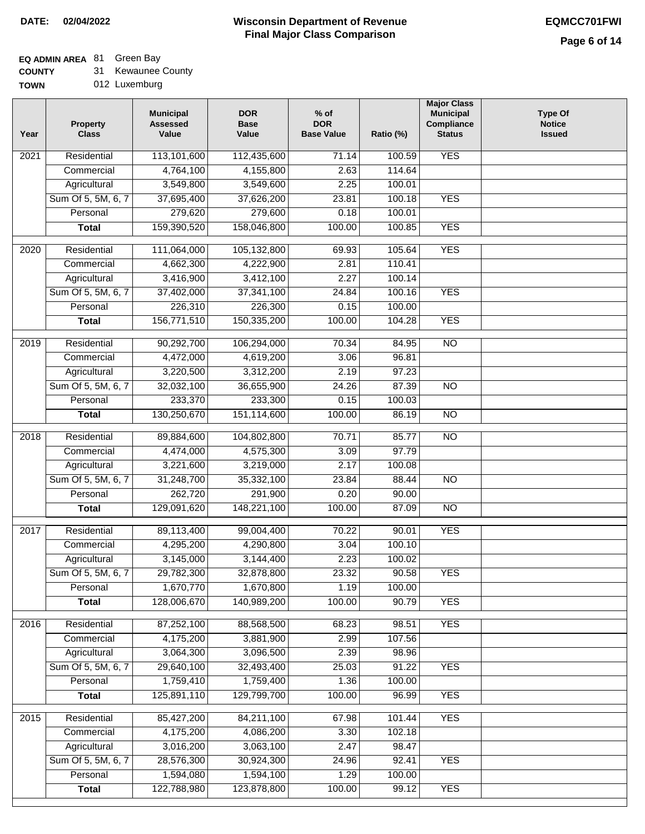### **EQ ADMIN AREA** 81 Green Bay

**COUNTY** 31 Kewaunee County

| Year | <b>Property</b><br><b>Class</b> | <b>Municipal</b><br><b>Assessed</b><br>Value | <b>DOR</b><br><b>Base</b><br>Value | $%$ of<br><b>DOR</b><br><b>Base Value</b> | Ratio (%) | <b>Major Class</b><br><b>Municipal</b><br>Compliance<br><b>Status</b> | <b>Type Of</b><br><b>Notice</b><br><b>Issued</b> |
|------|---------------------------------|----------------------------------------------|------------------------------------|-------------------------------------------|-----------|-----------------------------------------------------------------------|--------------------------------------------------|
| 2021 | Residential                     | 113,101,600                                  | 112,435,600                        | $\overline{71.14}$                        | 100.59    | <b>YES</b>                                                            |                                                  |
|      | Commercial                      | 4,764,100                                    | 4,155,800                          | 2.63                                      | 114.64    |                                                                       |                                                  |
|      | Agricultural                    | 3,549,800                                    | 3,549,600                          | 2.25                                      | 100.01    |                                                                       |                                                  |
|      | Sum Of 5, 5M, 6, 7              | 37,695,400                                   | 37,626,200                         | 23.81                                     | 100.18    | <b>YES</b>                                                            |                                                  |
|      | Personal                        | 279,620                                      | 279,600                            | 0.18                                      | 100.01    |                                                                       |                                                  |
|      | <b>Total</b>                    | 159,390,520                                  | 158,046,800                        | 100.00                                    | 100.85    | <b>YES</b>                                                            |                                                  |
| 2020 | Residential                     | 111,064,000                                  | 105,132,800                        | 69.93                                     | 105.64    | <b>YES</b>                                                            |                                                  |
|      | Commercial                      | 4,662,300                                    | 4,222,900                          | 2.81                                      | 110.41    |                                                                       |                                                  |
|      | Agricultural                    | 3,416,900                                    | 3,412,100                          | 2.27                                      | 100.14    |                                                                       |                                                  |
|      | Sum Of 5, 5M, 6, 7              | 37,402,000                                   | 37,341,100                         | 24.84                                     | 100.16    | <b>YES</b>                                                            |                                                  |
|      | Personal                        | 226,310                                      | 226,300                            | 0.15                                      | 100.00    |                                                                       |                                                  |
|      | <b>Total</b>                    | 156,771,510                                  | 150,335,200                        | 100.00                                    | 104.28    | <b>YES</b>                                                            |                                                  |
|      |                                 |                                              |                                    |                                           |           |                                                                       |                                                  |
| 2019 | Residential                     | 90,292,700                                   | 106,294,000                        | 70.34                                     | 84.95     | $\overline{NO}$                                                       |                                                  |
|      | Commercial                      | 4,472,000                                    | 4,619,200                          | 3.06                                      | 96.81     |                                                                       |                                                  |
|      | Agricultural                    | 3,220,500                                    | 3,312,200                          | 2.19                                      | 97.23     |                                                                       |                                                  |
|      | Sum Of 5, 5M, 6, 7              | 32,032,100                                   | 36,655,900                         | 24.26                                     | 87.39     | $\overline{NO}$                                                       |                                                  |
|      | Personal                        | 233,370                                      | 233,300                            | 0.15                                      | 100.03    |                                                                       |                                                  |
|      | <b>Total</b>                    | 130,250,670                                  | 151,114,600                        | 100.00                                    | 86.19     | N <sub>O</sub>                                                        |                                                  |
| 2018 | Residential                     | 89,884,600                                   | 104,802,800                        | 70.71                                     | 85.77     | $\overline{NO}$                                                       |                                                  |
|      | Commercial                      | 4,474,000                                    | 4,575,300                          | 3.09                                      | 97.79     |                                                                       |                                                  |
|      | Agricultural                    | 3,221,600                                    | 3,219,000                          | 2.17                                      | 100.08    |                                                                       |                                                  |
|      | Sum Of 5, 5M, 6, 7              | 31,248,700                                   | 35,332,100                         | 23.84                                     | 88.44     | $\overline{10}$                                                       |                                                  |
|      | Personal                        | 262,720                                      | 291,900                            | 0.20                                      | 90.00     |                                                                       |                                                  |
|      | <b>Total</b>                    | 129,091,620                                  | 148,221,100                        | 100.00                                    | 87.09     | N <sub>O</sub>                                                        |                                                  |
| 2017 | Residential                     | 89,113,400                                   | 99,004,400                         | 70.22                                     | 90.01     | <b>YES</b>                                                            |                                                  |
|      | Commercial                      | 4,295,200                                    | 4,290,800                          | 3.04                                      | 100.10    |                                                                       |                                                  |
|      | Agricultural                    | 3,145,000                                    | 3,144,400                          | 2.23                                      | 100.02    |                                                                       |                                                  |
|      | Sum Of 5, 5M, 6, 7              | 29,782,300                                   | 32,878,800                         | 23.32                                     | 90.58     | YES                                                                   |                                                  |
|      | Personal                        | 1,670,770                                    | 1,670,800                          | 1.19                                      | 100.00    |                                                                       |                                                  |
|      | <b>Total</b>                    | 128,006,670                                  | 140,989,200                        | 100.00                                    | 90.79     | <b>YES</b>                                                            |                                                  |
| 2016 | Residential                     | 87,252,100                                   | 88,568,500                         | 68.23                                     | 98.51     | <b>YES</b>                                                            |                                                  |
|      | Commercial                      | 4,175,200                                    | 3,881,900                          | 2.99                                      | 107.56    |                                                                       |                                                  |
|      | Agricultural                    | 3,064,300                                    | 3,096,500                          | 2.39                                      | 98.96     |                                                                       |                                                  |
|      | Sum Of 5, 5M, 6, 7              | 29,640,100                                   | 32,493,400                         | 25.03                                     | 91.22     | <b>YES</b>                                                            |                                                  |
|      | Personal                        | 1,759,410                                    | 1,759,400                          | 1.36                                      | 100.00    |                                                                       |                                                  |
|      | <b>Total</b>                    | 125,891,110                                  | 129,799,700                        | 100.00                                    | 96.99     | <b>YES</b>                                                            |                                                  |
| 2015 | Residential                     | 85,427,200                                   | 84,211,100                         | 67.98                                     | 101.44    | <b>YES</b>                                                            |                                                  |
|      | Commercial                      | 4,175,200                                    | 4,086,200                          | 3.30                                      | 102.18    |                                                                       |                                                  |
|      | Agricultural                    | 3,016,200                                    | 3,063,100                          | 2.47                                      | 98.47     |                                                                       |                                                  |
|      | Sum Of 5, 5M, 6, 7              | 28,576,300                                   | 30,924,300                         | 24.96                                     | 92.41     | <b>YES</b>                                                            |                                                  |
|      | Personal                        | 1,594,080                                    | 1,594,100                          | 1.29                                      | 100.00    |                                                                       |                                                  |
|      | <b>Total</b>                    | 122,788,980                                  | 123,878,800                        | 100.00                                    | 99.12     | <b>YES</b>                                                            |                                                  |
|      |                                 |                                              |                                    |                                           |           |                                                                       |                                                  |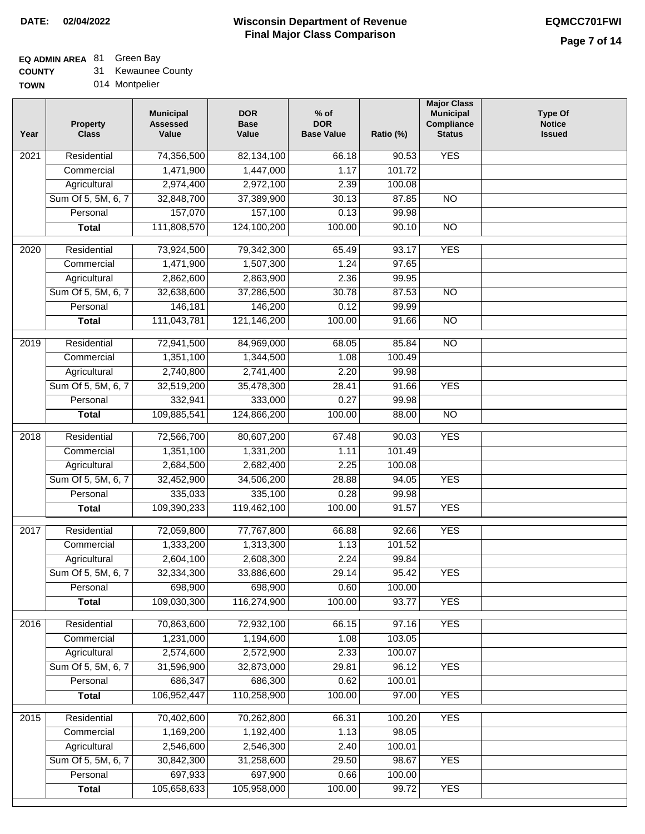### **EQ ADMIN AREA** 81 Green Bay

**COUNTY** 31 Kewaunee County

**TOWN** 014 Montpelier

| <b>YES</b><br>Residential<br>74,356,500<br>$\overline{202}1$<br>82,134,100<br>66.18<br>90.53<br>1,471,900<br>1,447,000<br>101.72<br>Commercial<br>1.17<br>Agricultural<br>2,974,400<br>2,972,100<br>2.39<br>100.08<br>Sum Of 5, 5M, 6, 7<br>32,848,700<br>37,389,900<br>30.13<br>87.85<br>$\overline{NO}$<br>157,070<br>157,100<br>Personal<br>0.13<br>99.98<br>111,808,570<br>124,100,200<br>100.00<br>90.10<br>$\overline{NO}$<br><b>Total</b><br><b>YES</b><br>$\overline{2020}$<br>Residential<br>73,924,500<br>79,342,300<br>65.49<br>93.17<br>97.65<br>1,471,900<br>1,507,300<br>1.24<br>Commercial<br>2,862,600<br>2,863,900<br>2.36<br>99.95<br>Agricultural<br>Sum Of 5, 5M, 6, 7<br>32,638,600<br>37,286,500<br>30.78<br>87.53<br>$\overline{NO}$<br>146,200<br>99.99<br>Personal<br>146,181<br>0.12<br>111,043,781<br>121,146,200<br>100.00<br>$\overline{NO}$<br><b>Total</b><br>91.66<br>2019<br>Residential<br>72,941,500<br>84,969,000<br>68.05<br>85.84<br>$\overline{NO}$<br>1,351,100<br>1,344,500<br>100.49<br>Commercial<br>1.08<br>2,740,800<br>2,741,400<br>2.20<br>99.98<br>Agricultural<br><b>YES</b><br>Sum Of 5, 5M, 6, 7<br>32,519,200<br>35,478,300<br>28.41<br>91.66<br>Personal<br>332,941<br>333,000<br>0.27<br>99.98<br>109,885,541<br>124,866,200<br>100.00<br>$\overline{NO}$<br><b>Total</b><br>88.00<br>Residential<br>72,566,700<br>80,607,200<br>90.03<br><b>YES</b><br>2018<br>67.48<br>Commercial<br>1,351,100<br>1,331,200<br>1.11<br>101.49<br>2,684,500<br>2,682,400<br>2.25<br>Agricultural<br>100.08<br>Sum Of 5, 5M, 6, 7<br>32,452,900<br>34,506,200<br>28.88<br>94.05<br><b>YES</b><br>0.28<br>Personal<br>335,033<br>335,100<br>99.98<br>109,390,233<br>119,462,100<br>100.00<br><b>YES</b><br><b>Total</b><br>91.57<br>$\overline{2017}$<br>Residential<br>72,059,800<br>77,767,800<br><b>YES</b><br>66.88<br>92.66<br>Commercial<br>1,333,200<br>1,313,300<br>1.13<br>101.52<br>2,608,300<br>2,604,100<br>2.24<br>99.84<br>Agricultural<br>33,886,600<br>29.14<br>Sum Of 5, 5M, 6, 7<br>32,334,300<br>95.42<br><b>YES</b> | Year | <b>Property</b><br><b>Class</b> | <b>Municipal</b><br><b>Assessed</b><br>Value | <b>DOR</b><br><b>Base</b><br>Value | $%$ of<br><b>DOR</b><br><b>Base Value</b> | Ratio (%) | <b>Major Class</b><br><b>Municipal</b><br>Compliance<br><b>Status</b> | <b>Type Of</b><br><b>Notice</b><br><b>Issued</b> |
|------------------------------------------------------------------------------------------------------------------------------------------------------------------------------------------------------------------------------------------------------------------------------------------------------------------------------------------------------------------------------------------------------------------------------------------------------------------------------------------------------------------------------------------------------------------------------------------------------------------------------------------------------------------------------------------------------------------------------------------------------------------------------------------------------------------------------------------------------------------------------------------------------------------------------------------------------------------------------------------------------------------------------------------------------------------------------------------------------------------------------------------------------------------------------------------------------------------------------------------------------------------------------------------------------------------------------------------------------------------------------------------------------------------------------------------------------------------------------------------------------------------------------------------------------------------------------------------------------------------------------------------------------------------------------------------------------------------------------------------------------------------------------------------------------------------------------------------------------------------------------------------------------------------------------------------------------------------------------------------------------------------------------------------------------------------------------|------|---------------------------------|----------------------------------------------|------------------------------------|-------------------------------------------|-----------|-----------------------------------------------------------------------|--------------------------------------------------|
|                                                                                                                                                                                                                                                                                                                                                                                                                                                                                                                                                                                                                                                                                                                                                                                                                                                                                                                                                                                                                                                                                                                                                                                                                                                                                                                                                                                                                                                                                                                                                                                                                                                                                                                                                                                                                                                                                                                                                                                                                                                                              |      |                                 |                                              |                                    |                                           |           |                                                                       |                                                  |
|                                                                                                                                                                                                                                                                                                                                                                                                                                                                                                                                                                                                                                                                                                                                                                                                                                                                                                                                                                                                                                                                                                                                                                                                                                                                                                                                                                                                                                                                                                                                                                                                                                                                                                                                                                                                                                                                                                                                                                                                                                                                              |      |                                 |                                              |                                    |                                           |           |                                                                       |                                                  |
|                                                                                                                                                                                                                                                                                                                                                                                                                                                                                                                                                                                                                                                                                                                                                                                                                                                                                                                                                                                                                                                                                                                                                                                                                                                                                                                                                                                                                                                                                                                                                                                                                                                                                                                                                                                                                                                                                                                                                                                                                                                                              |      |                                 |                                              |                                    |                                           |           |                                                                       |                                                  |
|                                                                                                                                                                                                                                                                                                                                                                                                                                                                                                                                                                                                                                                                                                                                                                                                                                                                                                                                                                                                                                                                                                                                                                                                                                                                                                                                                                                                                                                                                                                                                                                                                                                                                                                                                                                                                                                                                                                                                                                                                                                                              |      |                                 |                                              |                                    |                                           |           |                                                                       |                                                  |
|                                                                                                                                                                                                                                                                                                                                                                                                                                                                                                                                                                                                                                                                                                                                                                                                                                                                                                                                                                                                                                                                                                                                                                                                                                                                                                                                                                                                                                                                                                                                                                                                                                                                                                                                                                                                                                                                                                                                                                                                                                                                              |      |                                 |                                              |                                    |                                           |           |                                                                       |                                                  |
|                                                                                                                                                                                                                                                                                                                                                                                                                                                                                                                                                                                                                                                                                                                                                                                                                                                                                                                                                                                                                                                                                                                                                                                                                                                                                                                                                                                                                                                                                                                                                                                                                                                                                                                                                                                                                                                                                                                                                                                                                                                                              |      |                                 |                                              |                                    |                                           |           |                                                                       |                                                  |
|                                                                                                                                                                                                                                                                                                                                                                                                                                                                                                                                                                                                                                                                                                                                                                                                                                                                                                                                                                                                                                                                                                                                                                                                                                                                                                                                                                                                                                                                                                                                                                                                                                                                                                                                                                                                                                                                                                                                                                                                                                                                              |      |                                 |                                              |                                    |                                           |           |                                                                       |                                                  |
|                                                                                                                                                                                                                                                                                                                                                                                                                                                                                                                                                                                                                                                                                                                                                                                                                                                                                                                                                                                                                                                                                                                                                                                                                                                                                                                                                                                                                                                                                                                                                                                                                                                                                                                                                                                                                                                                                                                                                                                                                                                                              |      |                                 |                                              |                                    |                                           |           |                                                                       |                                                  |
|                                                                                                                                                                                                                                                                                                                                                                                                                                                                                                                                                                                                                                                                                                                                                                                                                                                                                                                                                                                                                                                                                                                                                                                                                                                                                                                                                                                                                                                                                                                                                                                                                                                                                                                                                                                                                                                                                                                                                                                                                                                                              |      |                                 |                                              |                                    |                                           |           |                                                                       |                                                  |
|                                                                                                                                                                                                                                                                                                                                                                                                                                                                                                                                                                                                                                                                                                                                                                                                                                                                                                                                                                                                                                                                                                                                                                                                                                                                                                                                                                                                                                                                                                                                                                                                                                                                                                                                                                                                                                                                                                                                                                                                                                                                              |      |                                 |                                              |                                    |                                           |           |                                                                       |                                                  |
|                                                                                                                                                                                                                                                                                                                                                                                                                                                                                                                                                                                                                                                                                                                                                                                                                                                                                                                                                                                                                                                                                                                                                                                                                                                                                                                                                                                                                                                                                                                                                                                                                                                                                                                                                                                                                                                                                                                                                                                                                                                                              |      |                                 |                                              |                                    |                                           |           |                                                                       |                                                  |
|                                                                                                                                                                                                                                                                                                                                                                                                                                                                                                                                                                                                                                                                                                                                                                                                                                                                                                                                                                                                                                                                                                                                                                                                                                                                                                                                                                                                                                                                                                                                                                                                                                                                                                                                                                                                                                                                                                                                                                                                                                                                              |      |                                 |                                              |                                    |                                           |           |                                                                       |                                                  |
|                                                                                                                                                                                                                                                                                                                                                                                                                                                                                                                                                                                                                                                                                                                                                                                                                                                                                                                                                                                                                                                                                                                                                                                                                                                                                                                                                                                                                                                                                                                                                                                                                                                                                                                                                                                                                                                                                                                                                                                                                                                                              |      |                                 |                                              |                                    |                                           |           |                                                                       |                                                  |
|                                                                                                                                                                                                                                                                                                                                                                                                                                                                                                                                                                                                                                                                                                                                                                                                                                                                                                                                                                                                                                                                                                                                                                                                                                                                                                                                                                                                                                                                                                                                                                                                                                                                                                                                                                                                                                                                                                                                                                                                                                                                              |      |                                 |                                              |                                    |                                           |           |                                                                       |                                                  |
|                                                                                                                                                                                                                                                                                                                                                                                                                                                                                                                                                                                                                                                                                                                                                                                                                                                                                                                                                                                                                                                                                                                                                                                                                                                                                                                                                                                                                                                                                                                                                                                                                                                                                                                                                                                                                                                                                                                                                                                                                                                                              |      |                                 |                                              |                                    |                                           |           |                                                                       |                                                  |
|                                                                                                                                                                                                                                                                                                                                                                                                                                                                                                                                                                                                                                                                                                                                                                                                                                                                                                                                                                                                                                                                                                                                                                                                                                                                                                                                                                                                                                                                                                                                                                                                                                                                                                                                                                                                                                                                                                                                                                                                                                                                              |      |                                 |                                              |                                    |                                           |           |                                                                       |                                                  |
|                                                                                                                                                                                                                                                                                                                                                                                                                                                                                                                                                                                                                                                                                                                                                                                                                                                                                                                                                                                                                                                                                                                                                                                                                                                                                                                                                                                                                                                                                                                                                                                                                                                                                                                                                                                                                                                                                                                                                                                                                                                                              |      |                                 |                                              |                                    |                                           |           |                                                                       |                                                  |
|                                                                                                                                                                                                                                                                                                                                                                                                                                                                                                                                                                                                                                                                                                                                                                                                                                                                                                                                                                                                                                                                                                                                                                                                                                                                                                                                                                                                                                                                                                                                                                                                                                                                                                                                                                                                                                                                                                                                                                                                                                                                              |      |                                 |                                              |                                    |                                           |           |                                                                       |                                                  |
|                                                                                                                                                                                                                                                                                                                                                                                                                                                                                                                                                                                                                                                                                                                                                                                                                                                                                                                                                                                                                                                                                                                                                                                                                                                                                                                                                                                                                                                                                                                                                                                                                                                                                                                                                                                                                                                                                                                                                                                                                                                                              |      |                                 |                                              |                                    |                                           |           |                                                                       |                                                  |
|                                                                                                                                                                                                                                                                                                                                                                                                                                                                                                                                                                                                                                                                                                                                                                                                                                                                                                                                                                                                                                                                                                                                                                                                                                                                                                                                                                                                                                                                                                                                                                                                                                                                                                                                                                                                                                                                                                                                                                                                                                                                              |      |                                 |                                              |                                    |                                           |           |                                                                       |                                                  |
|                                                                                                                                                                                                                                                                                                                                                                                                                                                                                                                                                                                                                                                                                                                                                                                                                                                                                                                                                                                                                                                                                                                                                                                                                                                                                                                                                                                                                                                                                                                                                                                                                                                                                                                                                                                                                                                                                                                                                                                                                                                                              |      |                                 |                                              |                                    |                                           |           |                                                                       |                                                  |
|                                                                                                                                                                                                                                                                                                                                                                                                                                                                                                                                                                                                                                                                                                                                                                                                                                                                                                                                                                                                                                                                                                                                                                                                                                                                                                                                                                                                                                                                                                                                                                                                                                                                                                                                                                                                                                                                                                                                                                                                                                                                              |      |                                 |                                              |                                    |                                           |           |                                                                       |                                                  |
|                                                                                                                                                                                                                                                                                                                                                                                                                                                                                                                                                                                                                                                                                                                                                                                                                                                                                                                                                                                                                                                                                                                                                                                                                                                                                                                                                                                                                                                                                                                                                                                                                                                                                                                                                                                                                                                                                                                                                                                                                                                                              |      |                                 |                                              |                                    |                                           |           |                                                                       |                                                  |
|                                                                                                                                                                                                                                                                                                                                                                                                                                                                                                                                                                                                                                                                                                                                                                                                                                                                                                                                                                                                                                                                                                                                                                                                                                                                                                                                                                                                                                                                                                                                                                                                                                                                                                                                                                                                                                                                                                                                                                                                                                                                              |      |                                 |                                              |                                    |                                           |           |                                                                       |                                                  |
|                                                                                                                                                                                                                                                                                                                                                                                                                                                                                                                                                                                                                                                                                                                                                                                                                                                                                                                                                                                                                                                                                                                                                                                                                                                                                                                                                                                                                                                                                                                                                                                                                                                                                                                                                                                                                                                                                                                                                                                                                                                                              |      |                                 |                                              |                                    |                                           |           |                                                                       |                                                  |
|                                                                                                                                                                                                                                                                                                                                                                                                                                                                                                                                                                                                                                                                                                                                                                                                                                                                                                                                                                                                                                                                                                                                                                                                                                                                                                                                                                                                                                                                                                                                                                                                                                                                                                                                                                                                                                                                                                                                                                                                                                                                              |      |                                 |                                              |                                    |                                           |           |                                                                       |                                                  |
|                                                                                                                                                                                                                                                                                                                                                                                                                                                                                                                                                                                                                                                                                                                                                                                                                                                                                                                                                                                                                                                                                                                                                                                                                                                                                                                                                                                                                                                                                                                                                                                                                                                                                                                                                                                                                                                                                                                                                                                                                                                                              |      |                                 |                                              |                                    |                                           |           |                                                                       |                                                  |
|                                                                                                                                                                                                                                                                                                                                                                                                                                                                                                                                                                                                                                                                                                                                                                                                                                                                                                                                                                                                                                                                                                                                                                                                                                                                                                                                                                                                                                                                                                                                                                                                                                                                                                                                                                                                                                                                                                                                                                                                                                                                              |      |                                 |                                              |                                    |                                           |           |                                                                       |                                                  |
| Personal<br>698,900<br>698,900<br>0.60<br>100.00                                                                                                                                                                                                                                                                                                                                                                                                                                                                                                                                                                                                                                                                                                                                                                                                                                                                                                                                                                                                                                                                                                                                                                                                                                                                                                                                                                                                                                                                                                                                                                                                                                                                                                                                                                                                                                                                                                                                                                                                                             |      |                                 |                                              |                                    |                                           |           |                                                                       |                                                  |
| 109,030,300<br>116,274,900<br>100.00<br>93.77<br><b>YES</b><br><b>Total</b>                                                                                                                                                                                                                                                                                                                                                                                                                                                                                                                                                                                                                                                                                                                                                                                                                                                                                                                                                                                                                                                                                                                                                                                                                                                                                                                                                                                                                                                                                                                                                                                                                                                                                                                                                                                                                                                                                                                                                                                                  |      |                                 |                                              |                                    |                                           |           |                                                                       |                                                  |
| 70,863,600<br><b>YES</b><br>Residential<br>72,932,100<br>66.15<br>2016<br>97.16                                                                                                                                                                                                                                                                                                                                                                                                                                                                                                                                                                                                                                                                                                                                                                                                                                                                                                                                                                                                                                                                                                                                                                                                                                                                                                                                                                                                                                                                                                                                                                                                                                                                                                                                                                                                                                                                                                                                                                                              |      |                                 |                                              |                                    |                                           |           |                                                                       |                                                  |
| 1,231,000<br>1.08<br>103.05<br>Commercial<br>1,194,600                                                                                                                                                                                                                                                                                                                                                                                                                                                                                                                                                                                                                                                                                                                                                                                                                                                                                                                                                                                                                                                                                                                                                                                                                                                                                                                                                                                                                                                                                                                                                                                                                                                                                                                                                                                                                                                                                                                                                                                                                       |      |                                 |                                              |                                    |                                           |           |                                                                       |                                                  |
| 2,574,600<br>Agricultural<br>2,572,900<br>2.33<br>100.07                                                                                                                                                                                                                                                                                                                                                                                                                                                                                                                                                                                                                                                                                                                                                                                                                                                                                                                                                                                                                                                                                                                                                                                                                                                                                                                                                                                                                                                                                                                                                                                                                                                                                                                                                                                                                                                                                                                                                                                                                     |      |                                 |                                              |                                    |                                           |           |                                                                       |                                                  |
| Sum Of 5, 5M, 6, 7<br>29.81<br><b>YES</b><br>31,596,900<br>32,873,000<br>96.12                                                                                                                                                                                                                                                                                                                                                                                                                                                                                                                                                                                                                                                                                                                                                                                                                                                                                                                                                                                                                                                                                                                                                                                                                                                                                                                                                                                                                                                                                                                                                                                                                                                                                                                                                                                                                                                                                                                                                                                               |      |                                 |                                              |                                    |                                           |           |                                                                       |                                                  |
| 686,347<br>Personal<br>686,300<br>100.01<br>0.62                                                                                                                                                                                                                                                                                                                                                                                                                                                                                                                                                                                                                                                                                                                                                                                                                                                                                                                                                                                                                                                                                                                                                                                                                                                                                                                                                                                                                                                                                                                                                                                                                                                                                                                                                                                                                                                                                                                                                                                                                             |      |                                 |                                              |                                    |                                           |           |                                                                       |                                                  |
| 106,952,447<br>110,258,900<br>100.00<br>97.00<br><b>YES</b><br><b>Total</b>                                                                                                                                                                                                                                                                                                                                                                                                                                                                                                                                                                                                                                                                                                                                                                                                                                                                                                                                                                                                                                                                                                                                                                                                                                                                                                                                                                                                                                                                                                                                                                                                                                                                                                                                                                                                                                                                                                                                                                                                  |      |                                 |                                              |                                    |                                           |           |                                                                       |                                                  |
| <b>YES</b><br>Residential<br>70,402,600<br>70,262,800<br>66.31<br>100.20<br>2015                                                                                                                                                                                                                                                                                                                                                                                                                                                                                                                                                                                                                                                                                                                                                                                                                                                                                                                                                                                                                                                                                                                                                                                                                                                                                                                                                                                                                                                                                                                                                                                                                                                                                                                                                                                                                                                                                                                                                                                             |      |                                 |                                              |                                    |                                           |           |                                                                       |                                                  |
| 1,169,200<br>1,192,400<br>1.13<br>98.05<br>Commercial                                                                                                                                                                                                                                                                                                                                                                                                                                                                                                                                                                                                                                                                                                                                                                                                                                                                                                                                                                                                                                                                                                                                                                                                                                                                                                                                                                                                                                                                                                                                                                                                                                                                                                                                                                                                                                                                                                                                                                                                                        |      |                                 |                                              |                                    |                                           |           |                                                                       |                                                  |
| 2,546,600<br>2,546,300<br>2.40<br>100.01<br>Agricultural                                                                                                                                                                                                                                                                                                                                                                                                                                                                                                                                                                                                                                                                                                                                                                                                                                                                                                                                                                                                                                                                                                                                                                                                                                                                                                                                                                                                                                                                                                                                                                                                                                                                                                                                                                                                                                                                                                                                                                                                                     |      |                                 |                                              |                                    |                                           |           |                                                                       |                                                  |
| Sum Of 5, 5M, 6, 7<br>30,842,300<br>31,258,600<br>29.50<br>98.67<br><b>YES</b>                                                                                                                                                                                                                                                                                                                                                                                                                                                                                                                                                                                                                                                                                                                                                                                                                                                                                                                                                                                                                                                                                                                                                                                                                                                                                                                                                                                                                                                                                                                                                                                                                                                                                                                                                                                                                                                                                                                                                                                               |      |                                 |                                              |                                    |                                           |           |                                                                       |                                                  |
| 697,933<br>697,900<br>Personal<br>0.66<br>100.00                                                                                                                                                                                                                                                                                                                                                                                                                                                                                                                                                                                                                                                                                                                                                                                                                                                                                                                                                                                                                                                                                                                                                                                                                                                                                                                                                                                                                                                                                                                                                                                                                                                                                                                                                                                                                                                                                                                                                                                                                             |      |                                 |                                              |                                    |                                           |           |                                                                       |                                                  |
| 105,658,633<br>105,958,000<br>100.00<br>99.72<br><b>YES</b><br><b>Total</b>                                                                                                                                                                                                                                                                                                                                                                                                                                                                                                                                                                                                                                                                                                                                                                                                                                                                                                                                                                                                                                                                                                                                                                                                                                                                                                                                                                                                                                                                                                                                                                                                                                                                                                                                                                                                                                                                                                                                                                                                  |      |                                 |                                              |                                    |                                           |           |                                                                       |                                                  |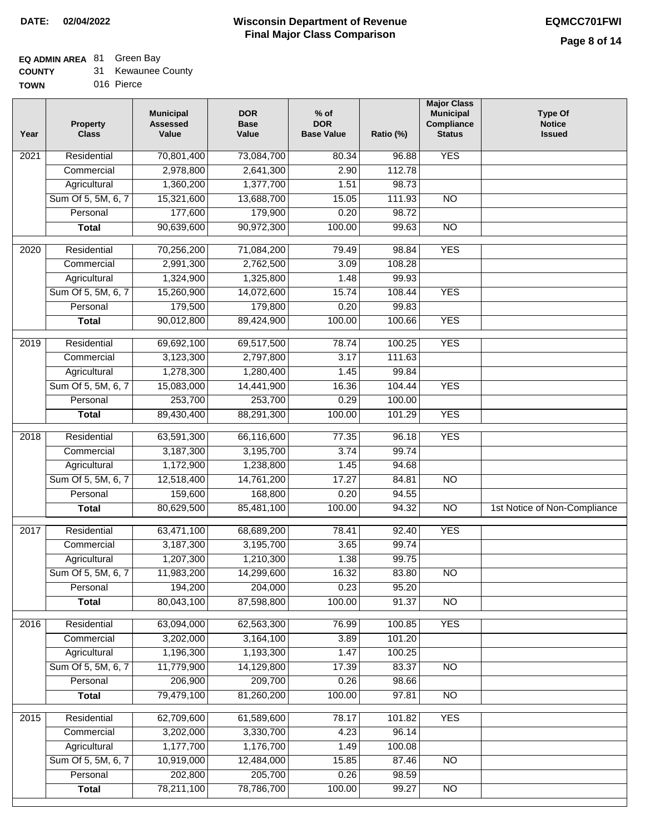## **EQ ADMIN AREA** 81 Green Bay

| <b>COUNTY</b> | 31 Kewaunee County |
|---------------|--------------------|
|---------------|--------------------|

**TOWN** 016 Pierce

| Year              | <b>Property</b><br><b>Class</b>    | <b>Municipal</b><br><b>Assessed</b><br>Value | <b>DOR</b><br><b>Base</b><br>Value | $%$ of<br><b>DOR</b><br><b>Base Value</b> | Ratio (%)       | <b>Major Class</b><br><b>Municipal</b><br>Compliance<br><b>Status</b> | <b>Type Of</b><br><b>Notice</b><br><b>Issued</b> |
|-------------------|------------------------------------|----------------------------------------------|------------------------------------|-------------------------------------------|-----------------|-----------------------------------------------------------------------|--------------------------------------------------|
| $\overline{202}1$ | Residential                        | 70,801,400                                   | 73,084,700                         | 80.34                                     | 96.88           | <b>YES</b>                                                            |                                                  |
|                   | Commercial                         | 2,978,800                                    | 2,641,300                          | 2.90                                      | 112.78          |                                                                       |                                                  |
|                   | Agricultural                       | 1,360,200                                    | 1,377,700                          | 1.51                                      | 98.73           |                                                                       |                                                  |
|                   | Sum Of 5, 5M, 6, 7                 | 15,321,600                                   | 13,688,700                         | 15.05                                     | 111.93          | $\overline{NO}$                                                       |                                                  |
|                   | Personal                           | 177,600                                      | 179,900                            | 0.20                                      | 98.72           |                                                                       |                                                  |
|                   | <b>Total</b>                       | 90,639,600                                   | 90,972,300                         | 100.00                                    | 99.63           | $\overline{NO}$                                                       |                                                  |
| $\overline{2020}$ | Residential                        | 70,256,200                                   | 71,084,200                         | 79.49                                     | 98.84           | <b>YES</b>                                                            |                                                  |
|                   | Commercial                         | 2,991,300                                    | 2,762,500                          | 3.09                                      | 108.28          |                                                                       |                                                  |
|                   | Agricultural                       | 1,324,900                                    | 1,325,800                          | 1.48                                      | 99.93           |                                                                       |                                                  |
|                   | Sum Of 5, 5M, 6, 7                 | 15,260,900                                   | 14,072,600                         | 15.74                                     | 108.44          | <b>YES</b>                                                            |                                                  |
|                   | Personal                           | 179,500                                      | 179,800                            | 0.20                                      | 99.83           |                                                                       |                                                  |
|                   | <b>Total</b>                       | 90,012,800                                   | 89,424,900                         | 100.00                                    | 100.66          | <b>YES</b>                                                            |                                                  |
|                   |                                    |                                              |                                    |                                           |                 |                                                                       |                                                  |
| 2019              | Residential                        | 69,692,100                                   | 69,517,500                         | 78.74                                     | 100.25          | <b>YES</b>                                                            |                                                  |
|                   | Commercial                         | 3,123,300                                    | 2,797,800                          | 3.17                                      | 111.63          |                                                                       |                                                  |
|                   | Agricultural                       | 1,278,300                                    | 1,280,400                          | 1.45                                      | 99.84           |                                                                       |                                                  |
|                   | Sum Of 5, 5M, 6, 7                 | 15,083,000                                   | 14,441,900                         | 16.36                                     | 104.44          | <b>YES</b>                                                            |                                                  |
|                   | Personal                           | 253,700                                      | 253,700                            | 0.29                                      | 100.00          |                                                                       |                                                  |
|                   | <b>Total</b>                       | 89,430,400                                   | 88,291,300                         | 100.00                                    | 101.29          | <b>YES</b>                                                            |                                                  |
| 2018              | Residential                        | 63,591,300                                   | 66,116,600                         | 77.35                                     | 96.18           | <b>YES</b>                                                            |                                                  |
|                   | Commercial                         | 3,187,300                                    | 3,195,700                          | 3.74                                      | 99.74           |                                                                       |                                                  |
|                   | Agricultural                       | 1,172,900                                    | 1,238,800                          | 1.45                                      | 94.68           |                                                                       |                                                  |
|                   | Sum Of 5, 5M, 6, 7                 | 12,518,400                                   | 14,761,200                         | 17.27                                     | 84.81           | $\overline{10}$                                                       |                                                  |
|                   | Personal                           | 159,600                                      | 168,800                            | 0.20                                      | 94.55           |                                                                       |                                                  |
|                   | <b>Total</b>                       | 80,629,500                                   | 85,481,100                         | 100.00                                    | 94.32           | $\overline{10}$                                                       | 1st Notice of Non-Compliance                     |
| $\overline{2017}$ | Residential                        | 63,471,100                                   | 68,689,200                         | 78.41                                     | 92.40           | <b>YES</b>                                                            |                                                  |
|                   | Commercial                         | 3,187,300                                    | 3,195,700                          | 3.65                                      | 99.74           |                                                                       |                                                  |
|                   | Agricultural                       | 1,207,300                                    | 1,210,300                          | 1.38                                      | 99.75           |                                                                       |                                                  |
|                   | Sum Of 5, 5M, 6, 7                 | 11,983,200                                   | 14,299,600                         | 16.32                                     | 83.80           | <b>NO</b>                                                             |                                                  |
|                   | Personal                           | 194,200                                      | 204,000                            | 0.23                                      | 95.20           |                                                                       |                                                  |
|                   | <b>Total</b>                       | 80,043,100                                   | 87,598,800                         | 100.00                                    | 91.37           | <b>NO</b>                                                             |                                                  |
| 2016              | Residential                        | 63,094,000                                   | 62,563,300                         | 76.99                                     | 100.85          | <b>YES</b>                                                            |                                                  |
|                   | Commercial                         | 3,202,000                                    | 3,164,100                          | 3.89                                      | 101.20          |                                                                       |                                                  |
|                   | Agricultural                       | 1,196,300                                    | 1,193,300                          | 1.47                                      | 100.25          |                                                                       |                                                  |
|                   | Sum Of 5, 5M, 6, 7                 | 11,779,900                                   | 14,129,800                         | 17.39                                     | 83.37           | $\overline{NO}$                                                       |                                                  |
|                   | Personal                           | 206,900                                      | 209,700                            | 0.26                                      | 98.66           |                                                                       |                                                  |
|                   | <b>Total</b>                       | 79,479,100                                   | 81,260,200                         | 100.00                                    | 97.81           | N <sub>O</sub>                                                        |                                                  |
|                   |                                    |                                              |                                    |                                           |                 |                                                                       |                                                  |
| 2015              | Residential                        | 62,709,600                                   | 61,589,600                         | 78.17                                     | 101.82          | <b>YES</b>                                                            |                                                  |
|                   | Commercial                         | 3,202,000                                    | 3,330,700                          | 4.23                                      | 96.14           |                                                                       |                                                  |
|                   | Agricultural<br>Sum Of 5, 5M, 6, 7 | 1,177,700<br>10,919,000                      | 1,176,700<br>12,484,000            | 1.49<br>15.85                             | 100.08<br>87.46 |                                                                       |                                                  |
|                   | Personal                           | 202,800                                      | 205,700                            | 0.26                                      | 98.59           | <b>NO</b>                                                             |                                                  |
|                   | <b>Total</b>                       | 78,211,100                                   | 78,786,700                         | 100.00                                    | 99.27           | <b>NO</b>                                                             |                                                  |
|                   |                                    |                                              |                                    |                                           |                 |                                                                       |                                                  |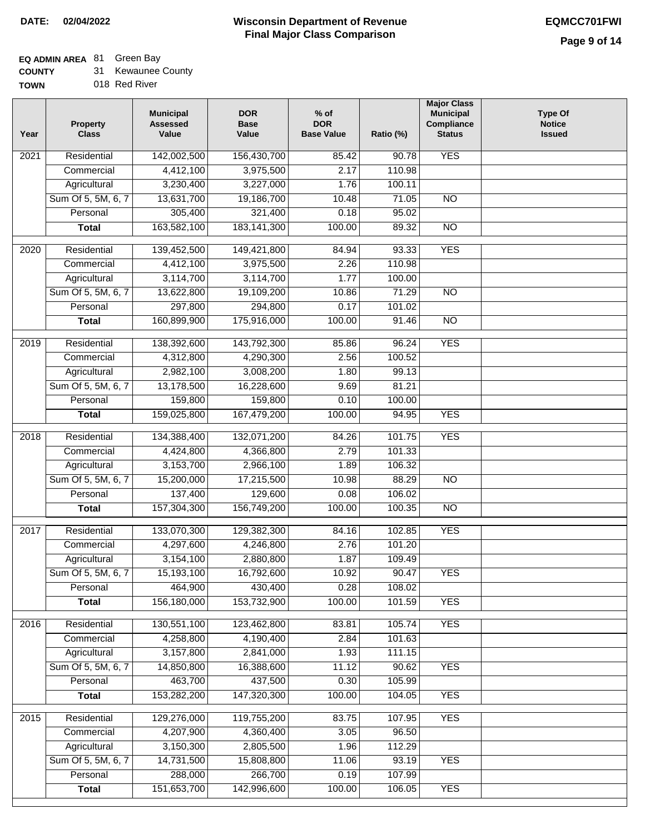### **EQ ADMIN AREA** 81 Green Bay

**COUNTY** 31 Kewaunee County

**TOWN** 018 Red River

| Year              | <b>Property</b><br><b>Class</b> | <b>Municipal</b><br><b>Assessed</b><br>Value | <b>DOR</b><br><b>Base</b><br>Value | $%$ of<br><b>DOR</b><br><b>Base Value</b> | Ratio (%) | <b>Major Class</b><br><b>Municipal</b><br>Compliance<br><b>Status</b> | <b>Type Of</b><br><b>Notice</b><br><b>Issued</b> |
|-------------------|---------------------------------|----------------------------------------------|------------------------------------|-------------------------------------------|-----------|-----------------------------------------------------------------------|--------------------------------------------------|
| $\overline{202}1$ | Residential                     | 142,002,500                                  | 156,430,700                        | 85.42                                     | 90.78     | <b>YES</b>                                                            |                                                  |
|                   | Commercial                      | 4,412,100                                    | 3,975,500                          | 2.17                                      | 110.98    |                                                                       |                                                  |
|                   | Agricultural                    | 3,230,400                                    | 3,227,000                          | 1.76                                      | 100.11    |                                                                       |                                                  |
|                   | Sum Of 5, 5M, 6, 7              | 13,631,700                                   | 19,186,700                         | 10.48                                     | 71.05     | $\overline{NO}$                                                       |                                                  |
|                   | Personal                        | 305,400                                      | 321,400                            | 0.18                                      | 95.02     |                                                                       |                                                  |
|                   | <b>Total</b>                    | 163,582,100                                  | 183, 141, 300                      | 100.00                                    | 89.32     | $\overline{NO}$                                                       |                                                  |
| 2020              | Residential                     | 139,452,500                                  | 149,421,800                        | 84.94                                     | 93.33     | <b>YES</b>                                                            |                                                  |
|                   | Commercial                      | 4,412,100                                    | 3,975,500                          | 2.26                                      | 110.98    |                                                                       |                                                  |
|                   | Agricultural                    | 3,114,700                                    | 3,114,700                          | 1.77                                      | 100.00    |                                                                       |                                                  |
|                   | Sum Of 5, 5M, 6, 7              | 13,622,800                                   | 19,109,200                         | 10.86                                     | 71.29     | $\overline{NO}$                                                       |                                                  |
|                   | Personal                        | 297,800                                      | 294,800                            | 0.17                                      | 101.02    |                                                                       |                                                  |
|                   | <b>Total</b>                    | 160,899,900                                  | 175,916,000                        | 100.00                                    | 91.46     | $\overline{NO}$                                                       |                                                  |
| 2019              | Residential                     | 138,392,600                                  | 143,792,300                        | 85.86                                     | 96.24     | <b>YES</b>                                                            |                                                  |
|                   | Commercial                      | 4,312,800                                    | 4,290,300                          | 2.56                                      | 100.52    |                                                                       |                                                  |
|                   | Agricultural                    | 2,982,100                                    | 3,008,200                          | 1.80                                      | 99.13     |                                                                       |                                                  |
|                   | Sum Of 5, 5M, 6, 7              | 13,178,500                                   | 16,228,600                         | 9.69                                      | 81.21     |                                                                       |                                                  |
|                   | Personal                        | 159,800                                      | 159,800                            | 0.10                                      | 100.00    |                                                                       |                                                  |
|                   | <b>Total</b>                    | 159,025,800                                  | 167,479,200                        | 100.00                                    | 94.95     | <b>YES</b>                                                            |                                                  |
| 2018              | Residential                     | 134,388,400                                  | 132,071,200                        | 84.26                                     | 101.75    | <b>YES</b>                                                            |                                                  |
|                   | Commercial                      | 4,424,800                                    | 4,366,800                          | 2.79                                      | 101.33    |                                                                       |                                                  |
|                   | Agricultural                    | 3,153,700                                    | 2,966,100                          | 1.89                                      | 106.32    |                                                                       |                                                  |
|                   | Sum Of 5, 5M, 6, 7              | 15,200,000                                   | 17,215,500                         | 10.98                                     | 88.29     | $\overline{N}$                                                        |                                                  |
|                   | Personal                        | 137,400                                      | 129,600                            | 0.08                                      | 106.02    |                                                                       |                                                  |
|                   | <b>Total</b>                    | 157,304,300                                  | 156,749,200                        | 100.00                                    | 100.35    | <b>NO</b>                                                             |                                                  |
| $\overline{2017}$ | Residential                     | 133,070,300                                  | 129,382,300                        | 84.16                                     | 102.85    | <b>YES</b>                                                            |                                                  |
|                   | Commercial                      | 4,297,600                                    | 4,246,800                          | 2.76                                      | 101.20    |                                                                       |                                                  |
|                   | Agricultural                    | 3,154,100                                    | 2,880,800                          | 1.87                                      | 109.49    |                                                                       |                                                  |
|                   | Sum Of 5, 5M, 6, 7              | 15,193,100                                   | 16,792,600                         | 10.92                                     | 90.47     | <b>YES</b>                                                            |                                                  |
|                   | Personal                        | 464,900                                      | 430,400                            | 0.28                                      | 108.02    |                                                                       |                                                  |
|                   | <b>Total</b>                    | 156,180,000                                  | 153,732,900                        | 100.00                                    | 101.59    | <b>YES</b>                                                            |                                                  |
| 2016              | Residential                     | 130,551,100                                  | 123,462,800                        | 83.81                                     | 105.74    | <b>YES</b>                                                            |                                                  |
|                   | Commercial                      | 4,258,800                                    | 4,190,400                          | 2.84                                      | 101.63    |                                                                       |                                                  |
|                   | Agricultural                    | 3,157,800                                    | 2,841,000                          | 1.93                                      | 111.15    |                                                                       |                                                  |
|                   | Sum Of 5, 5M, 6, 7              | 14,850,800                                   | 16,388,600                         | 11.12                                     | 90.62     | <b>YES</b>                                                            |                                                  |
|                   | Personal                        | 463,700                                      | 437,500                            | 0.30                                      | 105.99    |                                                                       |                                                  |
|                   | <b>Total</b>                    | 153,282,200                                  | 147,320,300                        | 100.00                                    | 104.05    | <b>YES</b>                                                            |                                                  |
| 2015              | Residential                     | 129,276,000                                  | 119,755,200                        | 83.75                                     | 107.95    | <b>YES</b>                                                            |                                                  |
|                   | Commercial                      | 4,207,900                                    | 4,360,400                          | 3.05                                      | 96.50     |                                                                       |                                                  |
|                   | Agricultural                    | 3,150,300                                    | 2,805,500                          | 1.96                                      | 112.29    |                                                                       |                                                  |
|                   | Sum Of 5, 5M, 6, 7              | 14,731,500                                   | 15,808,800                         | 11.06                                     | 93.19     | <b>YES</b>                                                            |                                                  |
|                   | Personal                        | 288,000                                      | 266,700                            | 0.19                                      | 107.99    |                                                                       |                                                  |
|                   | <b>Total</b>                    | 151,653,700                                  | 142,996,600                        | 100.00                                    | 106.05    | <b>YES</b>                                                            |                                                  |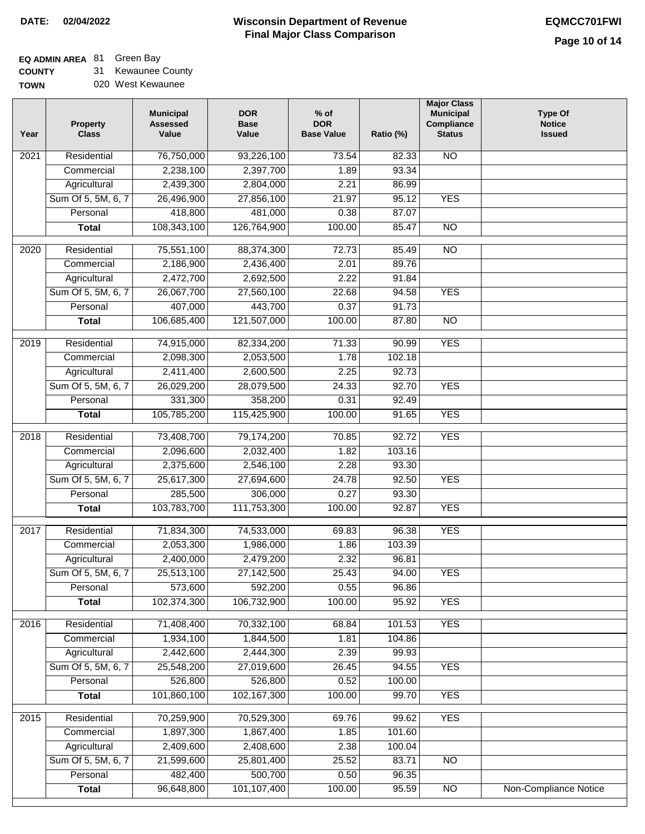### **Wisconsin Department of Revenue Final Major Class Comparison DATE: 02/04/2022 EQMCC701FWI**

٦

## **EQ ADMIN AREA** 81 Green Bay

**COUNTY** TO 31 Kewaunee County

| WN | 020 West Kewaunee |
|----|-------------------|
|    |                   |

| Year             | <b>Property</b><br><b>Class</b> | <b>Municipal</b><br><b>Assessed</b><br>Value | <b>DOR</b><br><b>Base</b><br>Value | $%$ of<br><b>DOR</b><br><b>Base Value</b> | Ratio (%) | <b>Major Class</b><br><b>Municipal</b><br>Compliance<br><b>Status</b> | <b>Type Of</b><br><b>Notice</b><br><b>Issued</b> |
|------------------|---------------------------------|----------------------------------------------|------------------------------------|-------------------------------------------|-----------|-----------------------------------------------------------------------|--------------------------------------------------|
| 2021             | Residential                     | 76,750,000                                   | 93,226,100                         | 73.54                                     | 82.33     | <b>NO</b>                                                             |                                                  |
|                  | Commercial                      | 2,238,100                                    | 2,397,700                          | 1.89                                      | 93.34     |                                                                       |                                                  |
|                  | Agricultural                    | 2,439,300                                    | 2,804,000                          | 2.21                                      | 86.99     |                                                                       |                                                  |
|                  | Sum Of 5, 5M, 6, 7              | 26,496,900                                   | 27,856,100                         | 21.97                                     | 95.12     | <b>YES</b>                                                            |                                                  |
|                  | Personal                        | 418,800                                      | 481,000                            | 0.38                                      | 87.07     |                                                                       |                                                  |
|                  | <b>Total</b>                    | 108,343,100                                  | 126,764,900                        | 100.00                                    | 85.47     | $\overline{NO}$                                                       |                                                  |
| $\frac{1}{2020}$ | Residential                     | 75,551,100                                   | 88,374,300                         | 72.73                                     | 85.49     | $\overline{NO}$                                                       |                                                  |
|                  | Commercial                      | 2,186,900                                    | 2,436,400                          | 2.01                                      | 89.76     |                                                                       |                                                  |
|                  | Agricultural                    | 2,472,700                                    | 2,692,500                          | 2.22                                      | 91.84     |                                                                       |                                                  |
|                  | Sum Of 5, 5M, 6, 7              | 26,067,700                                   | 27,560,100                         | 22.68                                     | 94.58     | <b>YES</b>                                                            |                                                  |
|                  | Personal                        | 407,000                                      | 443,700                            | 0.37                                      | 91.73     |                                                                       |                                                  |
|                  | <b>Total</b>                    | 106,685,400                                  | 121,507,000                        | 100.00                                    | 87.80     | <b>NO</b>                                                             |                                                  |
|                  |                                 |                                              |                                    |                                           |           |                                                                       |                                                  |
| $\frac{2019}{ }$ | Residential                     | 74,915,000                                   | 82,334,200                         | 71.33                                     | 90.99     | <b>YES</b>                                                            |                                                  |
|                  | Commercial                      | 2,098,300                                    | 2,053,500                          | 1.78                                      | 102.18    |                                                                       |                                                  |
|                  | Agricultural                    | 2,411,400                                    | 2,600,500                          | 2.25                                      | 92.73     |                                                                       |                                                  |
|                  | Sum Of 5, 5M, 6, 7              | 26,029,200                                   | 28,079,500                         | 24.33                                     | 92.70     | <b>YES</b>                                                            |                                                  |
|                  | Personal                        | 331,300                                      | 358,200                            | 0.31                                      | 92.49     |                                                                       |                                                  |
|                  | <b>Total</b>                    | 105,785,200                                  | 115,425,900                        | 100.00                                    | 91.65     | <b>YES</b>                                                            |                                                  |
| 2018             | Residential                     | 73,408,700                                   | 79,174,200                         | 70.85                                     | 92.72     | <b>YES</b>                                                            |                                                  |
|                  | Commercial                      | 2,096,600                                    | 2,032,400                          | 1.82                                      | 103.16    |                                                                       |                                                  |
|                  | Agricultural                    | 2,375,600                                    | 2,546,100                          | 2.28                                      | 93.30     |                                                                       |                                                  |
|                  | Sum Of 5, 5M, 6, 7              | 25,617,300                                   | 27,694,600                         | 24.78                                     | 92.50     | <b>YES</b>                                                            |                                                  |
|                  | Personal                        | 285,500                                      | 306,000                            | 0.27                                      | 93.30     |                                                                       |                                                  |
|                  | <b>Total</b>                    | 103,783,700                                  | 111,753,300                        | 100.00                                    | 92.87     | <b>YES</b>                                                            |                                                  |
| 2017             | Residential                     | 71,834,300                                   | 74,533,000                         | 69.83                                     | 96.38     | <b>YES</b>                                                            |                                                  |
|                  | Commercial                      | 2,053,300                                    | 1,986,000                          | 1.86                                      | 103.39    |                                                                       |                                                  |
|                  | Agricultural                    | 2,400,000                                    | 2,479,200                          | 2.32                                      | 96.81     |                                                                       |                                                  |
|                  | Sum Of 5, 5M, 6, 7              | 25,513,100                                   | 27,142,500                         | 25.43                                     | 94.00     | <b>YES</b>                                                            |                                                  |
|                  | Personal                        | 573,600                                      | 592,200                            | 0.55                                      | 96.86     |                                                                       |                                                  |
|                  | <b>Total</b>                    | 102,374,300                                  | 106,732,900                        | 100.00                                    | 95.92     | <b>YES</b>                                                            |                                                  |
| 2016             | Residential                     | 71,408,400                                   | 70,332,100                         | 68.84                                     | 101.53    | <b>YES</b>                                                            |                                                  |
|                  | Commercial                      | 1,934,100                                    | 1,844,500                          | 1.81                                      | 104.86    |                                                                       |                                                  |
|                  | Agricultural                    | 2,442,600                                    | 2,444,300                          | 2.39                                      | 99.93     |                                                                       |                                                  |
|                  | Sum Of 5, 5M, 6, 7              | 25,548,200                                   | 27,019,600                         | 26.45                                     | 94.55     | <b>YES</b>                                                            |                                                  |
|                  | Personal                        | 526,800                                      | 526,800                            | 0.52                                      | 100.00    |                                                                       |                                                  |
|                  | <b>Total</b>                    | 101,860,100                                  | 102,167,300                        | 100.00                                    | 99.70     | <b>YES</b>                                                            |                                                  |
|                  |                                 |                                              |                                    |                                           |           |                                                                       |                                                  |
| 2015             | Residential                     | 70,259,900                                   | 70,529,300                         | 69.76                                     | 99.62     | <b>YES</b>                                                            |                                                  |
|                  | Commercial                      | 1,897,300                                    | 1,867,400                          | 1.85                                      | 101.60    |                                                                       |                                                  |
|                  | Agricultural                    | 2,409,600                                    | 2,408,600                          | 2.38                                      | 100.04    |                                                                       |                                                  |
|                  | Sum Of 5, 5M, 6, 7              | 21,599,600                                   | 25,801,400                         | 25.52                                     | 83.71     | NO                                                                    |                                                  |
|                  | Personal                        | 482,400                                      | 500,700                            | 0.50                                      | 96.35     |                                                                       |                                                  |
|                  | <b>Total</b>                    | 96,648,800                                   | 101,107,400                        | 100.00                                    | 95.59     | $\overline{NO}$                                                       | Non-Compliance Notice                            |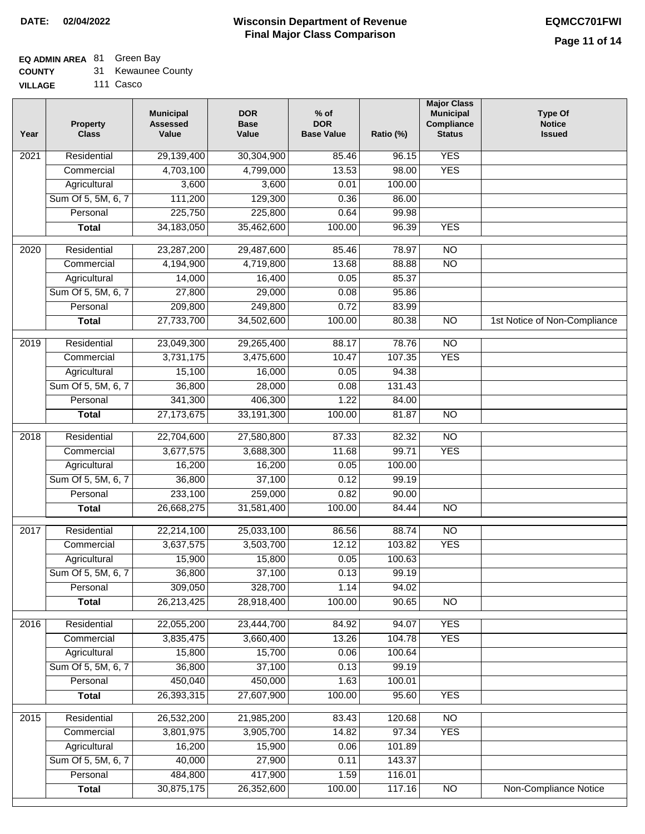# **EQ ADMIN AREA** 81 Green Bay

| <b>COUNTY</b> |  | 31 Kewaunee County |  |
|---------------|--|--------------------|--|
|---------------|--|--------------------|--|

**VILLAGE** 111 Casco

| Year              | <b>Property</b><br><b>Class</b> | <b>Municipal</b><br><b>Assessed</b><br>Value | <b>DOR</b><br><b>Base</b><br>Value | % of<br><b>DOR</b><br><b>Base Value</b> | Ratio (%) | <b>Major Class</b><br><b>Municipal</b><br>Compliance<br><b>Status</b> | <b>Type Of</b><br><b>Notice</b><br><b>Issued</b> |
|-------------------|---------------------------------|----------------------------------------------|------------------------------------|-----------------------------------------|-----------|-----------------------------------------------------------------------|--------------------------------------------------|
| $\overline{202}1$ | Residential                     | 29,139,400                                   | 30,304,900                         | 85.46                                   | 96.15     | <b>YES</b>                                                            |                                                  |
|                   | Commercial                      | 4,703,100                                    | 4,799,000                          | 13.53                                   | 98.00     | <b>YES</b>                                                            |                                                  |
|                   | Agricultural                    | 3,600                                        | 3,600                              | 0.01                                    | 100.00    |                                                                       |                                                  |
|                   | Sum Of 5, 5M, 6, 7              | 111,200                                      | 129,300                            | 0.36                                    | 86.00     |                                                                       |                                                  |
|                   | Personal                        | 225,750                                      | 225,800                            | 0.64                                    | 99.98     |                                                                       |                                                  |
|                   | <b>Total</b>                    | 34, 183, 050                                 | 35,462,600                         | 100.00                                  | 96.39     | <b>YES</b>                                                            |                                                  |
| $\overline{2020}$ | Residential                     | 23,287,200                                   | 29,487,600                         | 85.46                                   | 78.97     | $\overline{NO}$                                                       |                                                  |
|                   | Commercial                      | 4,194,900                                    | 4,719,800                          | 13.68                                   | 88.88     | $\overline{NO}$                                                       |                                                  |
|                   | Agricultural                    | 14,000                                       | 16,400                             | 0.05                                    | 85.37     |                                                                       |                                                  |
|                   | Sum Of 5, 5M, 6, 7              | 27,800                                       | 29,000                             | 0.08                                    | 95.86     |                                                                       |                                                  |
|                   | Personal                        | 209,800                                      | 249,800                            | 0.72                                    | 83.99     |                                                                       |                                                  |
|                   | <b>Total</b>                    | 27,733,700                                   | 34,502,600                         | 100.00                                  | 80.38     | $\overline{NO}$                                                       | 1st Notice of Non-Compliance                     |
|                   |                                 |                                              |                                    |                                         |           |                                                                       |                                                  |
| 2019              | Residential                     | 23,049,300                                   | 29,265,400                         | 88.17                                   | 78.76     | $\overline{10}$                                                       |                                                  |
|                   | Commercial                      | 3,731,175                                    | 3,475,600                          | 10.47                                   | 107.35    | <b>YES</b>                                                            |                                                  |
|                   | Agricultural                    | 15,100                                       | 16,000                             | 0.05                                    | 94.38     |                                                                       |                                                  |
|                   | Sum Of 5, 5M, 6, 7              | 36,800                                       | 28,000                             | 0.08                                    | 131.43    |                                                                       |                                                  |
|                   | Personal                        | 341,300                                      | 406,300                            | 1.22                                    | 84.00     |                                                                       |                                                  |
|                   | <b>Total</b>                    | 27, 173, 675                                 | 33,191,300                         | 100.00                                  | 81.87     | $\overline{NO}$                                                       |                                                  |
| 2018              | Residential                     | 22,704,600                                   | 27,580,800                         | 87.33                                   | 82.32     | $\overline{NO}$                                                       |                                                  |
|                   | Commercial                      | 3,677,575                                    | 3,688,300                          | 11.68                                   | 99.71     | <b>YES</b>                                                            |                                                  |
|                   | Agricultural                    | 16,200                                       | 16,200                             | 0.05                                    | 100.00    |                                                                       |                                                  |
|                   | Sum Of 5, 5M, 6, 7              | 36,800                                       | 37,100                             | 0.12                                    | 99.19     |                                                                       |                                                  |
|                   | Personal                        | 233,100                                      | 259,000                            | 0.82                                    | 90.00     |                                                                       |                                                  |
|                   | <b>Total</b>                    | 26,668,275                                   | 31,581,400                         | 100.00                                  | 84.44     | <b>NO</b>                                                             |                                                  |
| 2017              | Residential                     | 22,214,100                                   | 25,033,100                         | 86.56                                   | 88.74     | $\overline{NO}$                                                       |                                                  |
|                   | Commercial                      | 3,637,575                                    | 3,503,700                          | 12.12                                   | 103.82    | <b>YES</b>                                                            |                                                  |
|                   | Agricultural                    | 15,900                                       | 15,800                             | 0.05                                    | 100.63    |                                                                       |                                                  |
|                   | Sum Of 5, 5M, 6, 7              | 36,800                                       | 37,100                             | 0.13                                    | 99.19     |                                                                       |                                                  |
|                   | Personal                        | 309,050                                      | 328,700                            | 1.14                                    | 94.02     |                                                                       |                                                  |
|                   | <b>Total</b>                    | 26,213,425                                   | 28,918,400                         | 100.00                                  | 90.65     | <b>NO</b>                                                             |                                                  |
| 2016              | Residential                     | 22,055,200                                   | 23,444,700                         | 84.92                                   | 94.07     | <b>YES</b>                                                            |                                                  |
|                   | Commercial                      | 3,835,475                                    | 3,660,400                          | 13.26                                   | 104.78    | <b>YES</b>                                                            |                                                  |
|                   | Agricultural                    | 15,800                                       | 15,700                             | 0.06                                    | 100.64    |                                                                       |                                                  |
|                   | Sum Of 5, 5M, 6, 7              | 36,800                                       | 37,100                             | 0.13                                    | 99.19     |                                                                       |                                                  |
|                   | Personal                        | 450,040                                      | 450,000                            | 1.63                                    | 100.01    |                                                                       |                                                  |
|                   | <b>Total</b>                    | 26,393,315                                   | 27,607,900                         | 100.00                                  | 95.60     | <b>YES</b>                                                            |                                                  |
|                   |                                 |                                              |                                    |                                         |           |                                                                       |                                                  |
| 2015              | Residential                     | 26,532,200                                   | 21,985,200                         | 83.43                                   | 120.68    | N <sub>O</sub>                                                        |                                                  |
|                   | Commercial                      | 3,801,975                                    | 3,905,700                          | 14.82                                   | 97.34     | <b>YES</b>                                                            |                                                  |
|                   | Agricultural                    | 16,200                                       | 15,900                             | 0.06                                    | 101.89    |                                                                       |                                                  |
|                   | Sum Of 5, 5M, 6, 7              | 40,000                                       | 27,900                             | 0.11                                    | 143.37    |                                                                       |                                                  |
|                   | Personal                        | 484,800                                      | 417,900                            | 1.59                                    | 116.01    |                                                                       |                                                  |
|                   | <b>Total</b>                    | 30,875,175                                   | 26,352,600                         | 100.00                                  | 117.16    | N <sub>O</sub>                                                        | <b>Non-Compliance Notice</b>                     |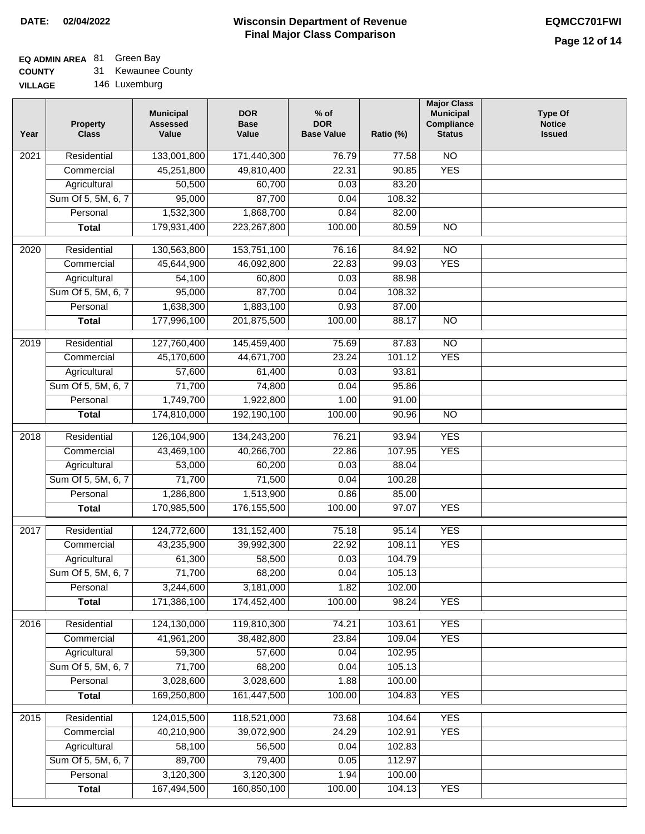# **EQ ADMIN AREA** 81 Green Bay

**COUNTY** 31 Kewaunee County

| Year              | <b>Property</b><br><b>Class</b> | <b>Municipal</b><br><b>Assessed</b><br>Value | <b>DOR</b><br><b>Base</b><br>Value | $%$ of<br><b>DOR</b><br><b>Base Value</b> | Ratio (%) | <b>Major Class</b><br><b>Municipal</b><br>Compliance<br><b>Status</b> | <b>Type Of</b><br><b>Notice</b><br><b>Issued</b> |
|-------------------|---------------------------------|----------------------------------------------|------------------------------------|-------------------------------------------|-----------|-----------------------------------------------------------------------|--------------------------------------------------|
| 2021              | Residential                     | 133,001,800                                  | 171,440,300                        | 76.79                                     | 77.58     | $\overline{NO}$                                                       |                                                  |
|                   | Commercial                      | 45,251,800                                   | 49,810,400                         | 22.31                                     | 90.85     | <b>YES</b>                                                            |                                                  |
|                   | Agricultural                    | 50,500                                       | 60,700                             | 0.03                                      | 83.20     |                                                                       |                                                  |
|                   | Sum Of 5, 5M, 6, 7              | 95,000                                       | 87,700                             | 0.04                                      | 108.32    |                                                                       |                                                  |
|                   | Personal                        | 1,532,300                                    | 1,868,700                          | 0.84                                      | 82.00     |                                                                       |                                                  |
|                   | <b>Total</b>                    | 179,931,400                                  | 223,267,800                        | 100.00                                    | 80.59     | N <sub>O</sub>                                                        |                                                  |
| 2020              | Residential                     | 130,563,800                                  | 153,751,100                        | 76.16                                     | 84.92     | NO                                                                    |                                                  |
|                   | Commercial                      | 45,644,900                                   | 46,092,800                         | 22.83                                     | 99.03     | <b>YES</b>                                                            |                                                  |
|                   | Agricultural                    | 54,100                                       | 60,800                             | 0.03                                      | 88.98     |                                                                       |                                                  |
|                   | Sum Of 5, 5M, 6, 7              | 95,000                                       | 87,700                             | 0.04                                      | 108.32    |                                                                       |                                                  |
|                   | Personal                        | 1,638,300                                    | 1,883,100                          | 0.93                                      | 87.00     |                                                                       |                                                  |
|                   | <b>Total</b>                    | 177,996,100                                  | 201,875,500                        | 100.00                                    | 88.17     | $\overline{NO}$                                                       |                                                  |
|                   |                                 |                                              |                                    |                                           |           |                                                                       |                                                  |
| 2019              | Residential                     | 127,760,400                                  | 145,459,400                        | 75.69                                     | 87.83     | $\overline{NO}$                                                       |                                                  |
|                   | Commercial                      | 45,170,600                                   | 44,671,700                         | 23.24                                     | 101.12    | <b>YES</b>                                                            |                                                  |
|                   | Agricultural                    | 57,600                                       | 61,400                             | 0.03                                      | 93.81     |                                                                       |                                                  |
|                   | Sum Of 5, 5M, 6, 7              | 71,700                                       | 74,800                             | 0.04                                      | 95.86     |                                                                       |                                                  |
|                   | Personal                        | 1,749,700                                    | 1,922,800                          | 1.00                                      | 91.00     |                                                                       |                                                  |
|                   | <b>Total</b>                    | 174,810,000                                  | 192,190,100                        | 100.00                                    | 90.96     | $\overline{NO}$                                                       |                                                  |
| $\overline{2018}$ | Residential                     | 126,104,900                                  | 134,243,200                        | 76.21                                     | 93.94     | <b>YES</b>                                                            |                                                  |
|                   | Commercial                      | 43,469,100                                   | 40,266,700                         | 22.86                                     | 107.95    | <b>YES</b>                                                            |                                                  |
|                   | Agricultural                    | 53,000                                       | 60,200                             | 0.03                                      | 88.04     |                                                                       |                                                  |
|                   | Sum Of 5, 5M, 6, 7              | 71,700                                       | 71,500                             | 0.04                                      | 100.28    |                                                                       |                                                  |
|                   | Personal                        | 1,286,800                                    | 1,513,900                          | 0.86                                      | 85.00     |                                                                       |                                                  |
|                   | <b>Total</b>                    | 170,985,500                                  | 176, 155, 500                      | 100.00                                    | 97.07     | <b>YES</b>                                                            |                                                  |
| 2017              | Residential                     | 124,772,600                                  | 131, 152, 400                      | 75.18                                     | 95.14     | <b>YES</b>                                                            |                                                  |
|                   | Commercial                      | 43,235,900                                   | 39,992,300                         | 22.92                                     | 108.11    | <b>YES</b>                                                            |                                                  |
|                   | Agricultural                    | 61,300                                       | 58,500                             | 0.03                                      | 104.79    |                                                                       |                                                  |
|                   | Sum Of 5, 5M, 6, 7              | 71,700                                       | 68,200                             | 0.04                                      | 105.13    |                                                                       |                                                  |
|                   | Personal                        | 3,244,600                                    | 3,181,000                          | 1.82                                      | 102.00    |                                                                       |                                                  |
|                   | <b>Total</b>                    | 171,386,100                                  | 174,452,400                        | 100.00                                    | 98.24     | <b>YES</b>                                                            |                                                  |
| 2016              | Residential                     | 124,130,000                                  | 119,810,300                        | 74.21                                     | 103.61    | <b>YES</b>                                                            |                                                  |
|                   | Commercial                      | 41,961,200                                   | 38,482,800                         | 23.84                                     | 109.04    | <b>YES</b>                                                            |                                                  |
|                   | Agricultural                    | 59,300                                       | 57,600                             | 0.04                                      | 102.95    |                                                                       |                                                  |
|                   | Sum Of 5, 5M, 6, 7              | 71,700                                       | 68,200                             | 0.04                                      | 105.13    |                                                                       |                                                  |
|                   | Personal                        | 3,028,600                                    | 3,028,600                          | 1.88                                      | 100.00    |                                                                       |                                                  |
|                   | <b>Total</b>                    | 169,250,800                                  | 161,447,500                        | 100.00                                    | 104.83    | <b>YES</b>                                                            |                                                  |
|                   |                                 |                                              |                                    |                                           |           |                                                                       |                                                  |
| $\overline{2015}$ | Residential                     | 124,015,500                                  | 118,521,000                        | 73.68                                     | 104.64    | <b>YES</b>                                                            |                                                  |
|                   | Commercial                      | 40,210,900                                   | 39,072,900                         | 24.29                                     | 102.91    | <b>YES</b>                                                            |                                                  |
|                   | Agricultural                    | 58,100                                       | 56,500                             | 0.04                                      | 102.83    |                                                                       |                                                  |
|                   | Sum Of 5, 5M, 6, 7              | 89,700                                       | 79,400                             | 0.05                                      | 112.97    |                                                                       |                                                  |
|                   | Personal                        | 3,120,300                                    | 3,120,300                          | 1.94                                      | 100.00    |                                                                       |                                                  |
|                   | <b>Total</b>                    | 167,494,500                                  | 160,850,100                        | 100.00                                    | 104.13    | <b>YES</b>                                                            |                                                  |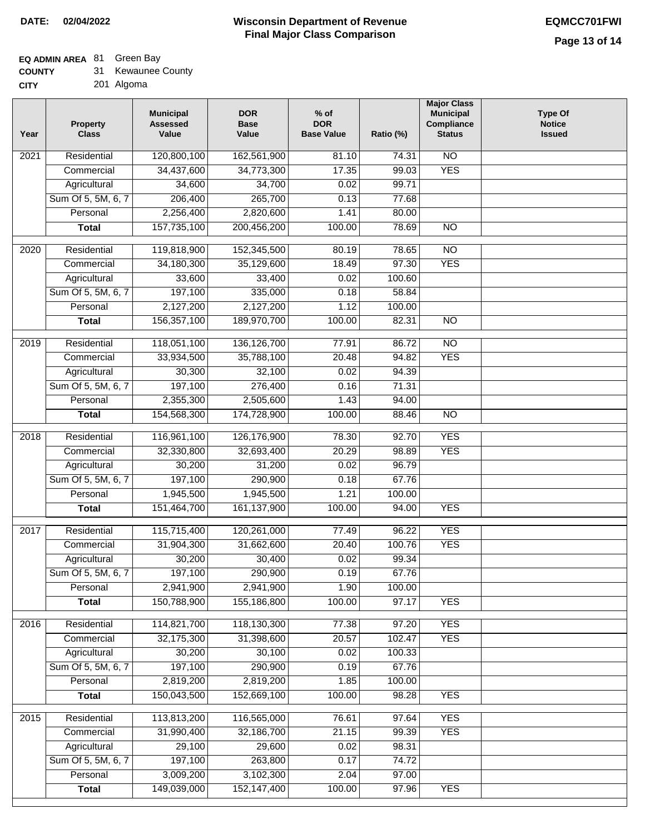### **EQ ADMIN AREA** 81 Green Bay

| <b>COUNTY</b> |  | Kewaunee County |  |
|---------------|--|-----------------|--|
|---------------|--|-----------------|--|

**CITY** 201 Algoma

| 120,800,100<br><b>NO</b><br>Residential<br>162,561,900<br>81.10<br>74.31<br>2021<br><b>YES</b><br>34,437,600<br>99.03<br>Commercial<br>34,773,300<br>17.35<br>34,600<br>34,700<br>0.02<br>99.71<br>Agricultural<br>206,400<br>265,700<br>Sum Of 5, 5M, 6, 7<br>0.13<br>77.68<br>2,256,400<br>Personal<br>2,820,600<br>1.41<br>80.00<br>157,735,100<br>200,456,200<br>100.00<br>78.69<br>$\overline{NO}$<br><b>Total</b><br>$\frac{1}{2020}$<br>Residential<br>119,818,900<br>152,345,500<br>80.19<br>78.65<br>$\overline{10}$<br>18.49<br>97.30<br><b>YES</b><br>Commercial<br>34,180,300<br>35,129,600<br>Agricultural<br>33,600<br>33,400<br>0.02<br>100.60<br>197,100<br>Sum Of 5, 5M, 6, 7<br>335,000<br>0.18<br>58.84<br>2,127,200<br>2,127,200<br>1.12<br>100.00<br>Personal<br>156,357,100<br>$\overline{NO}$<br><b>Total</b><br>189,970,700<br>100.00<br>82.31<br>$\overline{NO}$<br>2019<br>Residential<br>118,051,100<br>136, 126, 700<br>86.72<br>77.91<br><b>YES</b><br>Commercial<br>33,934,500<br>35,788,100<br>20.48<br>94.82<br>32,100<br>94.39<br>Agricultural<br>30,300<br>0.02<br>197,100<br>Sum Of 5, 5M, 6, 7<br>276,400<br>0.16<br>71.31<br>2,355,300<br>Personal<br>2,505,600<br>1.43<br>94.00<br>154,568,300<br>174,728,900<br>100.00<br>88.46<br>$\overline{NO}$<br><b>Total</b><br>116,961,100<br><b>YES</b><br>2018<br>Residential<br>126,176,900<br>78.30<br>92.70<br>20.29<br><b>YES</b><br>Commercial<br>32,330,800<br>32,693,400<br>98.89<br>30,200<br>31,200<br>0.02<br>96.79<br>Agricultural<br>197,100<br>Sum Of 5, 5M, 6, 7<br>290,900<br>0.18<br>67.76<br>1,945,500<br>1.21<br>1,945,500<br>100.00<br>Personal<br><b>YES</b><br>151,464,700<br>161,137,900<br>100.00<br>94.00<br><b>Total</b><br><b>YES</b><br>Residential<br>115,715,400<br>120,261,000<br>77.49<br>96.22<br>2017<br>31,904,300<br>31,662,600<br>20.40<br>100.76<br><b>YES</b><br>Commercial<br>0.02<br>99.34<br>30,200<br>30,400<br>Agricultural<br>Sum Of 5, 5M, 6, 7<br>197,100<br>290,900<br>0.19<br>67.76<br>2,941,900<br>Personal<br>2,941,900<br>1.90<br>100.00<br>150,788,900<br>155,186,800<br>100.00<br>97.17<br><b>YES</b><br><b>Total</b><br><b>YES</b><br>2016<br>Residential<br>114,821,700<br>118,130,300<br>77.38<br>97.20<br>32,175,300<br>102.47<br><b>YES</b><br>Commercial<br>31,398,600<br>20.57<br>30,200<br>30,100<br>100.33<br>Agricultural<br>0.02<br>197,100<br>290,900<br>Sum Of 5, 5M, 6, 7<br>0.19<br>67.76<br>2,819,200<br>Personal<br>2,819,200<br>1.85<br>100.00<br>150,043,500<br>152,669,100<br>100.00<br>98.28<br><b>YES</b><br><b>Total</b><br>2015<br>113,813,200<br>116,565,000<br><b>YES</b><br>Residential<br>76.61<br>97.64<br>31,990,400<br>32,186,700<br>21.15<br>99.39<br><b>YES</b><br>Commercial<br>Agricultural<br>29,100<br>29,600<br>98.31<br>0.02<br>197,100<br>Sum Of 5, 5M, 6, 7<br>263,800<br>0.17<br>74.72<br>3,009,200<br>Personal<br>3,102,300<br>2.04<br>97.00 | Year | <b>Property</b><br><b>Class</b> | <b>Municipal</b><br><b>Assessed</b><br>Value | <b>DOR</b><br><b>Base</b><br>Value | $%$ of<br><b>DOR</b><br><b>Base Value</b> | Ratio (%) | <b>Major Class</b><br><b>Municipal</b><br>Compliance<br><b>Status</b> | <b>Type Of</b><br><b>Notice</b><br><b>Issued</b> |
|------------------------------------------------------------------------------------------------------------------------------------------------------------------------------------------------------------------------------------------------------------------------------------------------------------------------------------------------------------------------------------------------------------------------------------------------------------------------------------------------------------------------------------------------------------------------------------------------------------------------------------------------------------------------------------------------------------------------------------------------------------------------------------------------------------------------------------------------------------------------------------------------------------------------------------------------------------------------------------------------------------------------------------------------------------------------------------------------------------------------------------------------------------------------------------------------------------------------------------------------------------------------------------------------------------------------------------------------------------------------------------------------------------------------------------------------------------------------------------------------------------------------------------------------------------------------------------------------------------------------------------------------------------------------------------------------------------------------------------------------------------------------------------------------------------------------------------------------------------------------------------------------------------------------------------------------------------------------------------------------------------------------------------------------------------------------------------------------------------------------------------------------------------------------------------------------------------------------------------------------------------------------------------------------------------------------------------------------------------------------------------------------------------------------------------------------------------------------------------------------------------------------------------------------------------------------------------------------------------------------------------------------------------------------------------------------------------------------------------------------------------------------------------------------------------------------------------------------------------------------------------------------------------------------------|------|---------------------------------|----------------------------------------------|------------------------------------|-------------------------------------------|-----------|-----------------------------------------------------------------------|--------------------------------------------------|
|                                                                                                                                                                                                                                                                                                                                                                                                                                                                                                                                                                                                                                                                                                                                                                                                                                                                                                                                                                                                                                                                                                                                                                                                                                                                                                                                                                                                                                                                                                                                                                                                                                                                                                                                                                                                                                                                                                                                                                                                                                                                                                                                                                                                                                                                                                                                                                                                                                                                                                                                                                                                                                                                                                                                                                                                                                                                                                                              |      |                                 |                                              |                                    |                                           |           |                                                                       |                                                  |
|                                                                                                                                                                                                                                                                                                                                                                                                                                                                                                                                                                                                                                                                                                                                                                                                                                                                                                                                                                                                                                                                                                                                                                                                                                                                                                                                                                                                                                                                                                                                                                                                                                                                                                                                                                                                                                                                                                                                                                                                                                                                                                                                                                                                                                                                                                                                                                                                                                                                                                                                                                                                                                                                                                                                                                                                                                                                                                                              |      |                                 |                                              |                                    |                                           |           |                                                                       |                                                  |
|                                                                                                                                                                                                                                                                                                                                                                                                                                                                                                                                                                                                                                                                                                                                                                                                                                                                                                                                                                                                                                                                                                                                                                                                                                                                                                                                                                                                                                                                                                                                                                                                                                                                                                                                                                                                                                                                                                                                                                                                                                                                                                                                                                                                                                                                                                                                                                                                                                                                                                                                                                                                                                                                                                                                                                                                                                                                                                                              |      |                                 |                                              |                                    |                                           |           |                                                                       |                                                  |
|                                                                                                                                                                                                                                                                                                                                                                                                                                                                                                                                                                                                                                                                                                                                                                                                                                                                                                                                                                                                                                                                                                                                                                                                                                                                                                                                                                                                                                                                                                                                                                                                                                                                                                                                                                                                                                                                                                                                                                                                                                                                                                                                                                                                                                                                                                                                                                                                                                                                                                                                                                                                                                                                                                                                                                                                                                                                                                                              |      |                                 |                                              |                                    |                                           |           |                                                                       |                                                  |
|                                                                                                                                                                                                                                                                                                                                                                                                                                                                                                                                                                                                                                                                                                                                                                                                                                                                                                                                                                                                                                                                                                                                                                                                                                                                                                                                                                                                                                                                                                                                                                                                                                                                                                                                                                                                                                                                                                                                                                                                                                                                                                                                                                                                                                                                                                                                                                                                                                                                                                                                                                                                                                                                                                                                                                                                                                                                                                                              |      |                                 |                                              |                                    |                                           |           |                                                                       |                                                  |
|                                                                                                                                                                                                                                                                                                                                                                                                                                                                                                                                                                                                                                                                                                                                                                                                                                                                                                                                                                                                                                                                                                                                                                                                                                                                                                                                                                                                                                                                                                                                                                                                                                                                                                                                                                                                                                                                                                                                                                                                                                                                                                                                                                                                                                                                                                                                                                                                                                                                                                                                                                                                                                                                                                                                                                                                                                                                                                                              |      |                                 |                                              |                                    |                                           |           |                                                                       |                                                  |
|                                                                                                                                                                                                                                                                                                                                                                                                                                                                                                                                                                                                                                                                                                                                                                                                                                                                                                                                                                                                                                                                                                                                                                                                                                                                                                                                                                                                                                                                                                                                                                                                                                                                                                                                                                                                                                                                                                                                                                                                                                                                                                                                                                                                                                                                                                                                                                                                                                                                                                                                                                                                                                                                                                                                                                                                                                                                                                                              |      |                                 |                                              |                                    |                                           |           |                                                                       |                                                  |
|                                                                                                                                                                                                                                                                                                                                                                                                                                                                                                                                                                                                                                                                                                                                                                                                                                                                                                                                                                                                                                                                                                                                                                                                                                                                                                                                                                                                                                                                                                                                                                                                                                                                                                                                                                                                                                                                                                                                                                                                                                                                                                                                                                                                                                                                                                                                                                                                                                                                                                                                                                                                                                                                                                                                                                                                                                                                                                                              |      |                                 |                                              |                                    |                                           |           |                                                                       |                                                  |
|                                                                                                                                                                                                                                                                                                                                                                                                                                                                                                                                                                                                                                                                                                                                                                                                                                                                                                                                                                                                                                                                                                                                                                                                                                                                                                                                                                                                                                                                                                                                                                                                                                                                                                                                                                                                                                                                                                                                                                                                                                                                                                                                                                                                                                                                                                                                                                                                                                                                                                                                                                                                                                                                                                                                                                                                                                                                                                                              |      |                                 |                                              |                                    |                                           |           |                                                                       |                                                  |
|                                                                                                                                                                                                                                                                                                                                                                                                                                                                                                                                                                                                                                                                                                                                                                                                                                                                                                                                                                                                                                                                                                                                                                                                                                                                                                                                                                                                                                                                                                                                                                                                                                                                                                                                                                                                                                                                                                                                                                                                                                                                                                                                                                                                                                                                                                                                                                                                                                                                                                                                                                                                                                                                                                                                                                                                                                                                                                                              |      |                                 |                                              |                                    |                                           |           |                                                                       |                                                  |
|                                                                                                                                                                                                                                                                                                                                                                                                                                                                                                                                                                                                                                                                                                                                                                                                                                                                                                                                                                                                                                                                                                                                                                                                                                                                                                                                                                                                                                                                                                                                                                                                                                                                                                                                                                                                                                                                                                                                                                                                                                                                                                                                                                                                                                                                                                                                                                                                                                                                                                                                                                                                                                                                                                                                                                                                                                                                                                                              |      |                                 |                                              |                                    |                                           |           |                                                                       |                                                  |
|                                                                                                                                                                                                                                                                                                                                                                                                                                                                                                                                                                                                                                                                                                                                                                                                                                                                                                                                                                                                                                                                                                                                                                                                                                                                                                                                                                                                                                                                                                                                                                                                                                                                                                                                                                                                                                                                                                                                                                                                                                                                                                                                                                                                                                                                                                                                                                                                                                                                                                                                                                                                                                                                                                                                                                                                                                                                                                                              |      |                                 |                                              |                                    |                                           |           |                                                                       |                                                  |
|                                                                                                                                                                                                                                                                                                                                                                                                                                                                                                                                                                                                                                                                                                                                                                                                                                                                                                                                                                                                                                                                                                                                                                                                                                                                                                                                                                                                                                                                                                                                                                                                                                                                                                                                                                                                                                                                                                                                                                                                                                                                                                                                                                                                                                                                                                                                                                                                                                                                                                                                                                                                                                                                                                                                                                                                                                                                                                                              |      |                                 |                                              |                                    |                                           |           |                                                                       |                                                  |
|                                                                                                                                                                                                                                                                                                                                                                                                                                                                                                                                                                                                                                                                                                                                                                                                                                                                                                                                                                                                                                                                                                                                                                                                                                                                                                                                                                                                                                                                                                                                                                                                                                                                                                                                                                                                                                                                                                                                                                                                                                                                                                                                                                                                                                                                                                                                                                                                                                                                                                                                                                                                                                                                                                                                                                                                                                                                                                                              |      |                                 |                                              |                                    |                                           |           |                                                                       |                                                  |
|                                                                                                                                                                                                                                                                                                                                                                                                                                                                                                                                                                                                                                                                                                                                                                                                                                                                                                                                                                                                                                                                                                                                                                                                                                                                                                                                                                                                                                                                                                                                                                                                                                                                                                                                                                                                                                                                                                                                                                                                                                                                                                                                                                                                                                                                                                                                                                                                                                                                                                                                                                                                                                                                                                                                                                                                                                                                                                                              |      |                                 |                                              |                                    |                                           |           |                                                                       |                                                  |
|                                                                                                                                                                                                                                                                                                                                                                                                                                                                                                                                                                                                                                                                                                                                                                                                                                                                                                                                                                                                                                                                                                                                                                                                                                                                                                                                                                                                                                                                                                                                                                                                                                                                                                                                                                                                                                                                                                                                                                                                                                                                                                                                                                                                                                                                                                                                                                                                                                                                                                                                                                                                                                                                                                                                                                                                                                                                                                                              |      |                                 |                                              |                                    |                                           |           |                                                                       |                                                  |
|                                                                                                                                                                                                                                                                                                                                                                                                                                                                                                                                                                                                                                                                                                                                                                                                                                                                                                                                                                                                                                                                                                                                                                                                                                                                                                                                                                                                                                                                                                                                                                                                                                                                                                                                                                                                                                                                                                                                                                                                                                                                                                                                                                                                                                                                                                                                                                                                                                                                                                                                                                                                                                                                                                                                                                                                                                                                                                                              |      |                                 |                                              |                                    |                                           |           |                                                                       |                                                  |
|                                                                                                                                                                                                                                                                                                                                                                                                                                                                                                                                                                                                                                                                                                                                                                                                                                                                                                                                                                                                                                                                                                                                                                                                                                                                                                                                                                                                                                                                                                                                                                                                                                                                                                                                                                                                                                                                                                                                                                                                                                                                                                                                                                                                                                                                                                                                                                                                                                                                                                                                                                                                                                                                                                                                                                                                                                                                                                                              |      |                                 |                                              |                                    |                                           |           |                                                                       |                                                  |
|                                                                                                                                                                                                                                                                                                                                                                                                                                                                                                                                                                                                                                                                                                                                                                                                                                                                                                                                                                                                                                                                                                                                                                                                                                                                                                                                                                                                                                                                                                                                                                                                                                                                                                                                                                                                                                                                                                                                                                                                                                                                                                                                                                                                                                                                                                                                                                                                                                                                                                                                                                                                                                                                                                                                                                                                                                                                                                                              |      |                                 |                                              |                                    |                                           |           |                                                                       |                                                  |
|                                                                                                                                                                                                                                                                                                                                                                                                                                                                                                                                                                                                                                                                                                                                                                                                                                                                                                                                                                                                                                                                                                                                                                                                                                                                                                                                                                                                                                                                                                                                                                                                                                                                                                                                                                                                                                                                                                                                                                                                                                                                                                                                                                                                                                                                                                                                                                                                                                                                                                                                                                                                                                                                                                                                                                                                                                                                                                                              |      |                                 |                                              |                                    |                                           |           |                                                                       |                                                  |
|                                                                                                                                                                                                                                                                                                                                                                                                                                                                                                                                                                                                                                                                                                                                                                                                                                                                                                                                                                                                                                                                                                                                                                                                                                                                                                                                                                                                                                                                                                                                                                                                                                                                                                                                                                                                                                                                                                                                                                                                                                                                                                                                                                                                                                                                                                                                                                                                                                                                                                                                                                                                                                                                                                                                                                                                                                                                                                                              |      |                                 |                                              |                                    |                                           |           |                                                                       |                                                  |
|                                                                                                                                                                                                                                                                                                                                                                                                                                                                                                                                                                                                                                                                                                                                                                                                                                                                                                                                                                                                                                                                                                                                                                                                                                                                                                                                                                                                                                                                                                                                                                                                                                                                                                                                                                                                                                                                                                                                                                                                                                                                                                                                                                                                                                                                                                                                                                                                                                                                                                                                                                                                                                                                                                                                                                                                                                                                                                                              |      |                                 |                                              |                                    |                                           |           |                                                                       |                                                  |
|                                                                                                                                                                                                                                                                                                                                                                                                                                                                                                                                                                                                                                                                                                                                                                                                                                                                                                                                                                                                                                                                                                                                                                                                                                                                                                                                                                                                                                                                                                                                                                                                                                                                                                                                                                                                                                                                                                                                                                                                                                                                                                                                                                                                                                                                                                                                                                                                                                                                                                                                                                                                                                                                                                                                                                                                                                                                                                                              |      |                                 |                                              |                                    |                                           |           |                                                                       |                                                  |
|                                                                                                                                                                                                                                                                                                                                                                                                                                                                                                                                                                                                                                                                                                                                                                                                                                                                                                                                                                                                                                                                                                                                                                                                                                                                                                                                                                                                                                                                                                                                                                                                                                                                                                                                                                                                                                                                                                                                                                                                                                                                                                                                                                                                                                                                                                                                                                                                                                                                                                                                                                                                                                                                                                                                                                                                                                                                                                                              |      |                                 |                                              |                                    |                                           |           |                                                                       |                                                  |
|                                                                                                                                                                                                                                                                                                                                                                                                                                                                                                                                                                                                                                                                                                                                                                                                                                                                                                                                                                                                                                                                                                                                                                                                                                                                                                                                                                                                                                                                                                                                                                                                                                                                                                                                                                                                                                                                                                                                                                                                                                                                                                                                                                                                                                                                                                                                                                                                                                                                                                                                                                                                                                                                                                                                                                                                                                                                                                                              |      |                                 |                                              |                                    |                                           |           |                                                                       |                                                  |
|                                                                                                                                                                                                                                                                                                                                                                                                                                                                                                                                                                                                                                                                                                                                                                                                                                                                                                                                                                                                                                                                                                                                                                                                                                                                                                                                                                                                                                                                                                                                                                                                                                                                                                                                                                                                                                                                                                                                                                                                                                                                                                                                                                                                                                                                                                                                                                                                                                                                                                                                                                                                                                                                                                                                                                                                                                                                                                                              |      |                                 |                                              |                                    |                                           |           |                                                                       |                                                  |
|                                                                                                                                                                                                                                                                                                                                                                                                                                                                                                                                                                                                                                                                                                                                                                                                                                                                                                                                                                                                                                                                                                                                                                                                                                                                                                                                                                                                                                                                                                                                                                                                                                                                                                                                                                                                                                                                                                                                                                                                                                                                                                                                                                                                                                                                                                                                                                                                                                                                                                                                                                                                                                                                                                                                                                                                                                                                                                                              |      |                                 |                                              |                                    |                                           |           |                                                                       |                                                  |
|                                                                                                                                                                                                                                                                                                                                                                                                                                                                                                                                                                                                                                                                                                                                                                                                                                                                                                                                                                                                                                                                                                                                                                                                                                                                                                                                                                                                                                                                                                                                                                                                                                                                                                                                                                                                                                                                                                                                                                                                                                                                                                                                                                                                                                                                                                                                                                                                                                                                                                                                                                                                                                                                                                                                                                                                                                                                                                                              |      |                                 |                                              |                                    |                                           |           |                                                                       |                                                  |
|                                                                                                                                                                                                                                                                                                                                                                                                                                                                                                                                                                                                                                                                                                                                                                                                                                                                                                                                                                                                                                                                                                                                                                                                                                                                                                                                                                                                                                                                                                                                                                                                                                                                                                                                                                                                                                                                                                                                                                                                                                                                                                                                                                                                                                                                                                                                                                                                                                                                                                                                                                                                                                                                                                                                                                                                                                                                                                                              |      |                                 |                                              |                                    |                                           |           |                                                                       |                                                  |
|                                                                                                                                                                                                                                                                                                                                                                                                                                                                                                                                                                                                                                                                                                                                                                                                                                                                                                                                                                                                                                                                                                                                                                                                                                                                                                                                                                                                                                                                                                                                                                                                                                                                                                                                                                                                                                                                                                                                                                                                                                                                                                                                                                                                                                                                                                                                                                                                                                                                                                                                                                                                                                                                                                                                                                                                                                                                                                                              |      |                                 |                                              |                                    |                                           |           |                                                                       |                                                  |
|                                                                                                                                                                                                                                                                                                                                                                                                                                                                                                                                                                                                                                                                                                                                                                                                                                                                                                                                                                                                                                                                                                                                                                                                                                                                                                                                                                                                                                                                                                                                                                                                                                                                                                                                                                                                                                                                                                                                                                                                                                                                                                                                                                                                                                                                                                                                                                                                                                                                                                                                                                                                                                                                                                                                                                                                                                                                                                                              |      |                                 |                                              |                                    |                                           |           |                                                                       |                                                  |
|                                                                                                                                                                                                                                                                                                                                                                                                                                                                                                                                                                                                                                                                                                                                                                                                                                                                                                                                                                                                                                                                                                                                                                                                                                                                                                                                                                                                                                                                                                                                                                                                                                                                                                                                                                                                                                                                                                                                                                                                                                                                                                                                                                                                                                                                                                                                                                                                                                                                                                                                                                                                                                                                                                                                                                                                                                                                                                                              |      |                                 |                                              |                                    |                                           |           |                                                                       |                                                  |
|                                                                                                                                                                                                                                                                                                                                                                                                                                                                                                                                                                                                                                                                                                                                                                                                                                                                                                                                                                                                                                                                                                                                                                                                                                                                                                                                                                                                                                                                                                                                                                                                                                                                                                                                                                                                                                                                                                                                                                                                                                                                                                                                                                                                                                                                                                                                                                                                                                                                                                                                                                                                                                                                                                                                                                                                                                                                                                                              |      |                                 |                                              |                                    |                                           |           |                                                                       |                                                  |
|                                                                                                                                                                                                                                                                                                                                                                                                                                                                                                                                                                                                                                                                                                                                                                                                                                                                                                                                                                                                                                                                                                                                                                                                                                                                                                                                                                                                                                                                                                                                                                                                                                                                                                                                                                                                                                                                                                                                                                                                                                                                                                                                                                                                                                                                                                                                                                                                                                                                                                                                                                                                                                                                                                                                                                                                                                                                                                                              |      |                                 |                                              |                                    |                                           |           |                                                                       |                                                  |
|                                                                                                                                                                                                                                                                                                                                                                                                                                                                                                                                                                                                                                                                                                                                                                                                                                                                                                                                                                                                                                                                                                                                                                                                                                                                                                                                                                                                                                                                                                                                                                                                                                                                                                                                                                                                                                                                                                                                                                                                                                                                                                                                                                                                                                                                                                                                                                                                                                                                                                                                                                                                                                                                                                                                                                                                                                                                                                                              |      |                                 |                                              |                                    |                                           |           |                                                                       |                                                  |
|                                                                                                                                                                                                                                                                                                                                                                                                                                                                                                                                                                                                                                                                                                                                                                                                                                                                                                                                                                                                                                                                                                                                                                                                                                                                                                                                                                                                                                                                                                                                                                                                                                                                                                                                                                                                                                                                                                                                                                                                                                                                                                                                                                                                                                                                                                                                                                                                                                                                                                                                                                                                                                                                                                                                                                                                                                                                                                                              |      |                                 |                                              |                                    |                                           |           |                                                                       |                                                  |
|                                                                                                                                                                                                                                                                                                                                                                                                                                                                                                                                                                                                                                                                                                                                                                                                                                                                                                                                                                                                                                                                                                                                                                                                                                                                                                                                                                                                                                                                                                                                                                                                                                                                                                                                                                                                                                                                                                                                                                                                                                                                                                                                                                                                                                                                                                                                                                                                                                                                                                                                                                                                                                                                                                                                                                                                                                                                                                                              |      |                                 |                                              |                                    |                                           |           |                                                                       |                                                  |
|                                                                                                                                                                                                                                                                                                                                                                                                                                                                                                                                                                                                                                                                                                                                                                                                                                                                                                                                                                                                                                                                                                                                                                                                                                                                                                                                                                                                                                                                                                                                                                                                                                                                                                                                                                                                                                                                                                                                                                                                                                                                                                                                                                                                                                                                                                                                                                                                                                                                                                                                                                                                                                                                                                                                                                                                                                                                                                                              |      |                                 |                                              |                                    |                                           |           |                                                                       |                                                  |
|                                                                                                                                                                                                                                                                                                                                                                                                                                                                                                                                                                                                                                                                                                                                                                                                                                                                                                                                                                                                                                                                                                                                                                                                                                                                                                                                                                                                                                                                                                                                                                                                                                                                                                                                                                                                                                                                                                                                                                                                                                                                                                                                                                                                                                                                                                                                                                                                                                                                                                                                                                                                                                                                                                                                                                                                                                                                                                                              |      |                                 |                                              |                                    |                                           |           |                                                                       |                                                  |
|                                                                                                                                                                                                                                                                                                                                                                                                                                                                                                                                                                                                                                                                                                                                                                                                                                                                                                                                                                                                                                                                                                                                                                                                                                                                                                                                                                                                                                                                                                                                                                                                                                                                                                                                                                                                                                                                                                                                                                                                                                                                                                                                                                                                                                                                                                                                                                                                                                                                                                                                                                                                                                                                                                                                                                                                                                                                                                                              |      |                                 |                                              |                                    |                                           |           |                                                                       |                                                  |
|                                                                                                                                                                                                                                                                                                                                                                                                                                                                                                                                                                                                                                                                                                                                                                                                                                                                                                                                                                                                                                                                                                                                                                                                                                                                                                                                                                                                                                                                                                                                                                                                                                                                                                                                                                                                                                                                                                                                                                                                                                                                                                                                                                                                                                                                                                                                                                                                                                                                                                                                                                                                                                                                                                                                                                                                                                                                                                                              |      |                                 |                                              |                                    |                                           |           |                                                                       |                                                  |
|                                                                                                                                                                                                                                                                                                                                                                                                                                                                                                                                                                                                                                                                                                                                                                                                                                                                                                                                                                                                                                                                                                                                                                                                                                                                                                                                                                                                                                                                                                                                                                                                                                                                                                                                                                                                                                                                                                                                                                                                                                                                                                                                                                                                                                                                                                                                                                                                                                                                                                                                                                                                                                                                                                                                                                                                                                                                                                                              |      |                                 |                                              |                                    |                                           |           |                                                                       |                                                  |
| 149,039,000<br>152, 147, 400<br>100.00<br><b>YES</b><br>97.96<br><b>Total</b>                                                                                                                                                                                                                                                                                                                                                                                                                                                                                                                                                                                                                                                                                                                                                                                                                                                                                                                                                                                                                                                                                                                                                                                                                                                                                                                                                                                                                                                                                                                                                                                                                                                                                                                                                                                                                                                                                                                                                                                                                                                                                                                                                                                                                                                                                                                                                                                                                                                                                                                                                                                                                                                                                                                                                                                                                                                |      |                                 |                                              |                                    |                                           |           |                                                                       |                                                  |